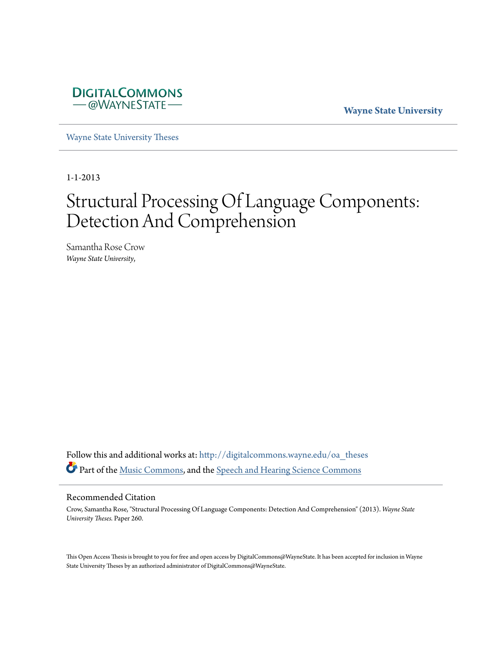

**Wayne State University**

[Wayne State University Theses](http://digitalcommons.wayne.edu/oa_theses?utm_source=digitalcommons.wayne.edu%2Foa_theses%2F260&utm_medium=PDF&utm_campaign=PDFCoverPages)

1-1-2013

# Structural Processing Of Language Components: Detection And Comprehension

Samantha Rose Crow *Wayne State University*,

Follow this and additional works at: [http://digitalcommons.wayne.edu/oa\\_theses](http://digitalcommons.wayne.edu/oa_theses?utm_source=digitalcommons.wayne.edu%2Foa_theses%2F260&utm_medium=PDF&utm_campaign=PDFCoverPages) Part of the [Music Commons](http://network.bepress.com/hgg/discipline/518?utm_source=digitalcommons.wayne.edu%2Foa_theses%2F260&utm_medium=PDF&utm_campaign=PDFCoverPages), and the [Speech and Hearing Science Commons](http://network.bepress.com/hgg/discipline/1033?utm_source=digitalcommons.wayne.edu%2Foa_theses%2F260&utm_medium=PDF&utm_campaign=PDFCoverPages)

#### Recommended Citation

Crow, Samantha Rose, "Structural Processing Of Language Components: Detection And Comprehension" (2013). *Wayne State University Theses.* Paper 260.

This Open Access Thesis is brought to you for free and open access by DigitalCommons@WayneState. It has been accepted for inclusion in Wayne State University Theses by an authorized administrator of DigitalCommons@WayneState.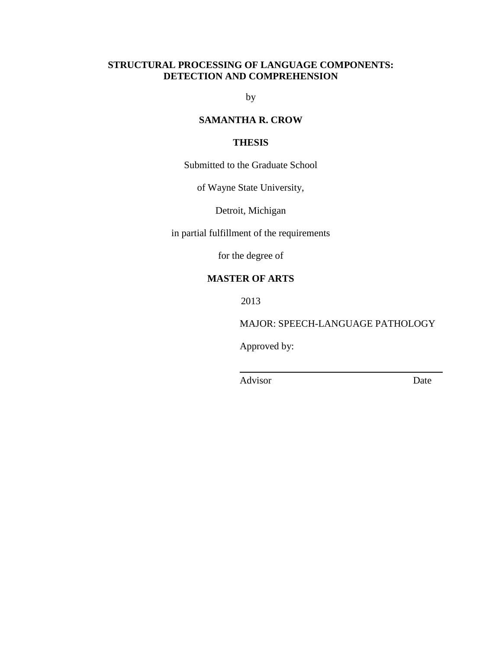# **STRUCTURAL PROCESSING OF LANGUAGE COMPONENTS: DETECTION AND COMPREHENSION**

by

# **SAMANTHA R. CROW**

# **THESIS**

Submitted to the Graduate School

of Wayne State University,

Detroit, Michigan

in partial fulfillment of the requirements

for the degree of

# **MASTER OF ARTS**

2013

MAJOR: SPEECH-LANGUAGE PATHOLOGY

Approved by:

Advisor Date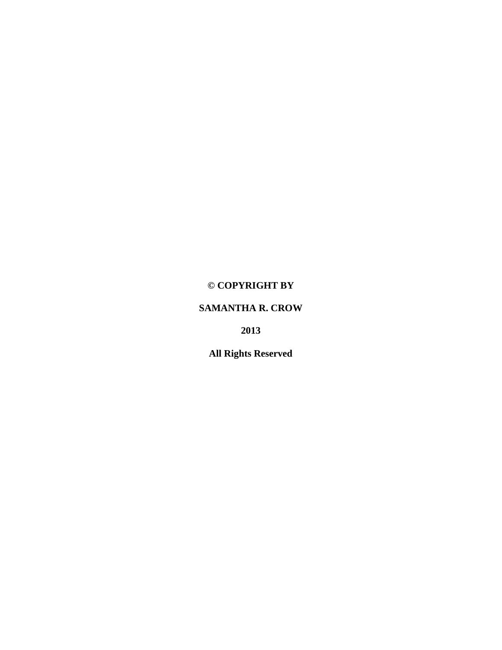# **© COPYRIGHT BY**

# **SAMANTHA R. CROW**

**2013**

**All Rights Reserved**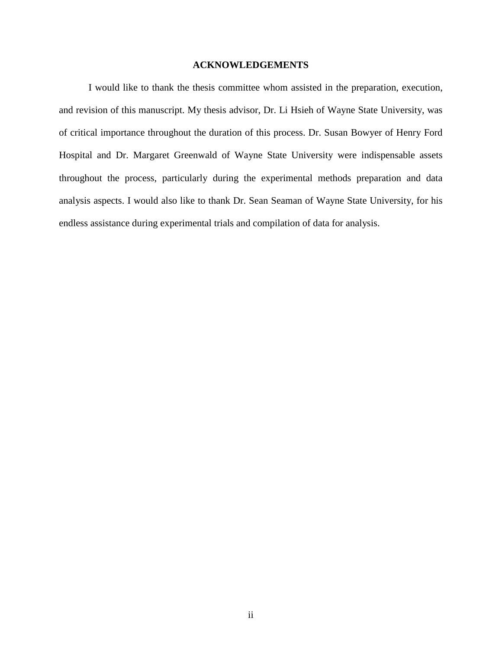# **ACKNOWLEDGEMENTS**

<span id="page-3-0"></span>I would like to thank the thesis committee whom assisted in the preparation, execution, and revision of this manuscript. My thesis advisor, Dr. Li Hsieh of Wayne State University, was of critical importance throughout the duration of this process. Dr. Susan Bowyer of Henry Ford Hospital and Dr. Margaret Greenwald of Wayne State University were indispensable assets throughout the process, particularly during the experimental methods preparation and data analysis aspects. I would also like to thank Dr. Sean Seaman of Wayne State University, for his endless assistance during experimental trials and compilation of data for analysis.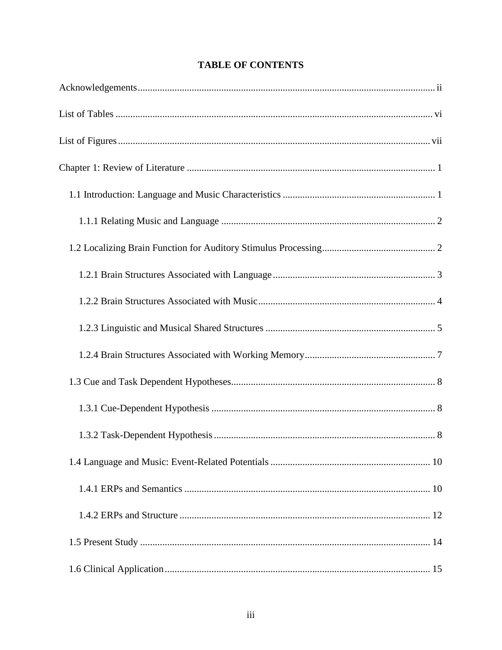# **TABLE OF CONTENTS**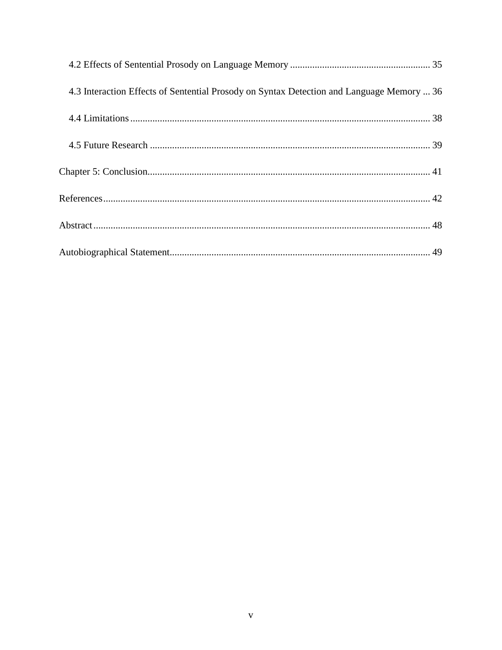| 4.3 Interaction Effects of Sentential Prosody on Syntax Detection and Language Memory  36 |  |
|-------------------------------------------------------------------------------------------|--|
|                                                                                           |  |
|                                                                                           |  |
|                                                                                           |  |
|                                                                                           |  |
|                                                                                           |  |
|                                                                                           |  |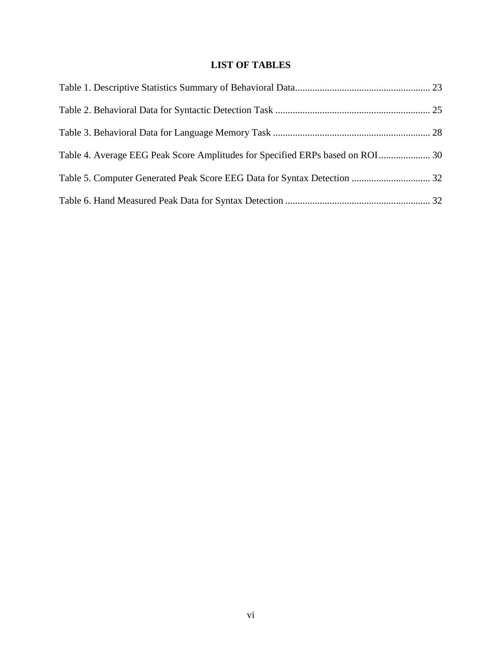# **LIST OF TABLES**

<span id="page-7-0"></span>

| Table 4. Average EEG Peak Score Amplitudes for Specified ERPs based on ROI 30 |  |
|-------------------------------------------------------------------------------|--|
|                                                                               |  |
|                                                                               |  |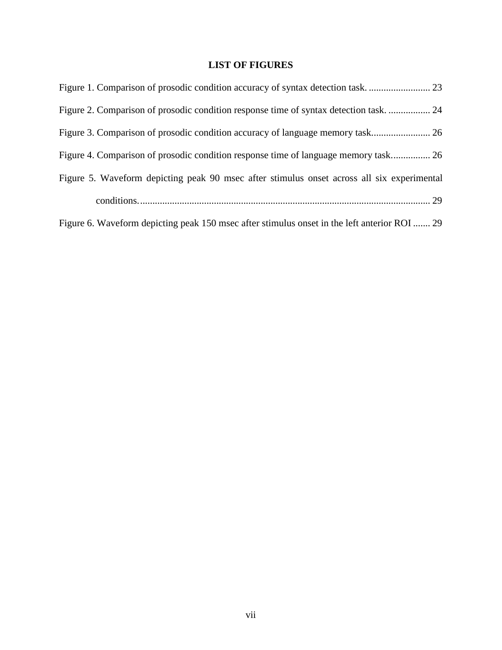# **LIST OF FIGURES**

<span id="page-8-0"></span>

| Figure 2. Comparison of prosodic condition response time of syntax detection task 24         |
|----------------------------------------------------------------------------------------------|
|                                                                                              |
| Figure 4. Comparison of prosodic condition response time of language memory task 26          |
| Figure 5. Waveform depicting peak 90 msec after stimulus onset across all six experimental   |
|                                                                                              |
| Figure 6. Waveform depicting peak 150 msec after stimulus onset in the left anterior ROI  29 |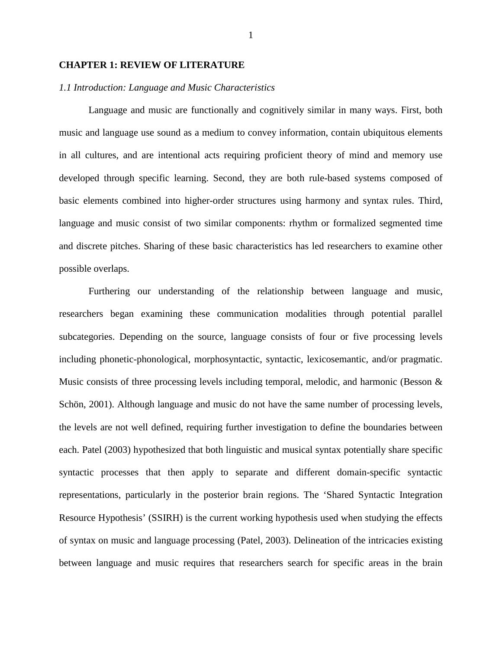#### <span id="page-9-0"></span>**CHAPTER 1: REVIEW OF LITERATURE**

## <span id="page-9-1"></span>*1.1 Introduction: Language and Music Characteristics*

Language and music are functionally and cognitively similar in many ways. First, both music and language use sound as a medium to convey information, contain ubiquitous elements in all cultures, and are intentional acts requiring proficient theory of mind and memory use developed through specific learning. Second, they are both rule-based systems composed of basic elements combined into higher-order structures using harmony and syntax rules. Third, language and music consist of two similar components: rhythm or formalized segmented time and discrete pitches. Sharing of these basic characteristics has led researchers to examine other possible overlaps.

Furthering our understanding of the relationship between language and music, researchers began examining these communication modalities through potential parallel subcategories. Depending on the source, language consists of four or five processing levels including phonetic-phonological, morphosyntactic, syntactic, lexicosemantic, and/or pragmatic. Music consists of three processing levels including temporal, melodic, and harmonic (Besson & Schön, 2001). Although language and music do not have the same number of processing levels, the levels are not well defined, requiring further investigation to define the boundaries between each. Patel (2003) hypothesized that both linguistic and musical syntax potentially share specific syntactic processes that then apply to separate and different domain-specific syntactic representations, particularly in the posterior brain regions. The 'Shared Syntactic Integration Resource Hypothesis' (SSIRH) is the current working hypothesis used when studying the effects of syntax on music and language processing (Patel, 2003). Delineation of the intricacies existing between language and music requires that researchers search for specific areas in the brain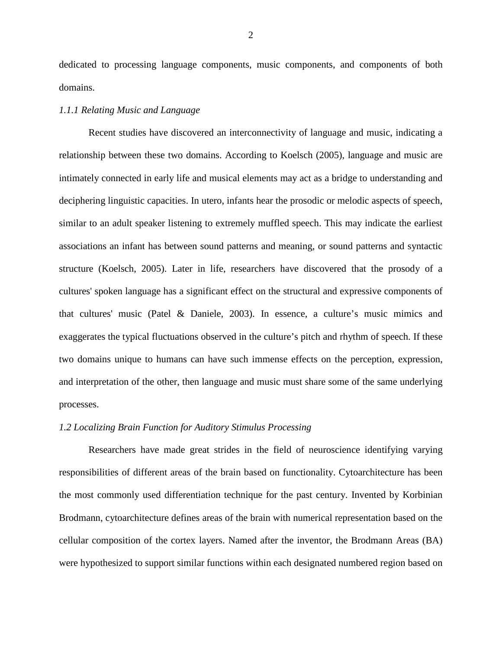dedicated to processing language components, music components, and components of both domains.

# <span id="page-10-0"></span>*1.1.1 Relating Music and Language*

Recent studies have discovered an interconnectivity of language and music, indicating a relationship between these two domains. According to Koelsch (2005), language and music are intimately connected in early life and musical elements may act as a bridge to understanding and deciphering linguistic capacities. In utero, infants hear the prosodic or melodic aspects of speech, similar to an adult speaker listening to extremely muffled speech. This may indicate the earliest associations an infant has between sound patterns and meaning, or sound patterns and syntactic structure (Koelsch, 2005). Later in life, researchers have discovered that the prosody of a cultures' spoken language has a significant effect on the structural and expressive components of that cultures' music (Patel & Daniele, 2003). In essence, a culture's music mimics and exaggerates the typical fluctuations observed in the culture's pitch and rhythm of speech. If these two domains unique to humans can have such immense effects on the perception, expression, and interpretation of the other, then language and music must share some of the same underlying processes.

#### <span id="page-10-1"></span>*1.2 Localizing Brain Function for Auditory Stimulus Processing*

Researchers have made great strides in the field of neuroscience identifying varying responsibilities of different areas of the brain based on functionality. Cytoarchitecture has been the most commonly used differentiation technique for the past century. Invented by Korbinian Brodmann, cytoarchitecture defines areas of the brain with numerical representation based on the cellular composition of the cortex layers. Named after the inventor, the Brodmann Areas (BA) were hypothesized to support similar functions within each designated numbered region based on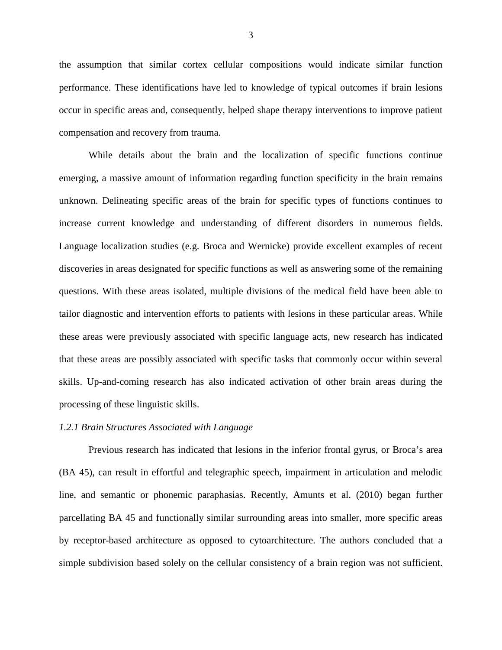the assumption that similar cortex cellular compositions would indicate similar function performance. These identifications have led to knowledge of typical outcomes if brain lesions occur in specific areas and, consequently, helped shape therapy interventions to improve patient compensation and recovery from trauma.

While details about the brain and the localization of specific functions continue emerging, a massive amount of information regarding function specificity in the brain remains unknown. Delineating specific areas of the brain for specific types of functions continues to increase current knowledge and understanding of different disorders in numerous fields. Language localization studies (e.g. Broca and Wernicke) provide excellent examples of recent discoveries in areas designated for specific functions as well as answering some of the remaining questions. With these areas isolated, multiple divisions of the medical field have been able to tailor diagnostic and intervention efforts to patients with lesions in these particular areas. While these areas were previously associated with specific language acts, new research has indicated that these areas are possibly associated with specific tasks that commonly occur within several skills. Up-and-coming research has also indicated activation of other brain areas during the processing of these linguistic skills.

#### <span id="page-11-0"></span>*1.2.1 Brain Structures Associated with Language*

Previous research has indicated that lesions in the inferior frontal gyrus, or Broca's area (BA 45), can result in effortful and telegraphic speech, impairment in articulation and melodic line, and semantic or phonemic paraphasias. Recently, Amunts et al. (2010) began further parcellating BA 45 and functionally similar surrounding areas into smaller, more specific areas by receptor-based architecture as opposed to cytoarchitecture. The authors concluded that a simple subdivision based solely on the cellular consistency of a brain region was not sufficient.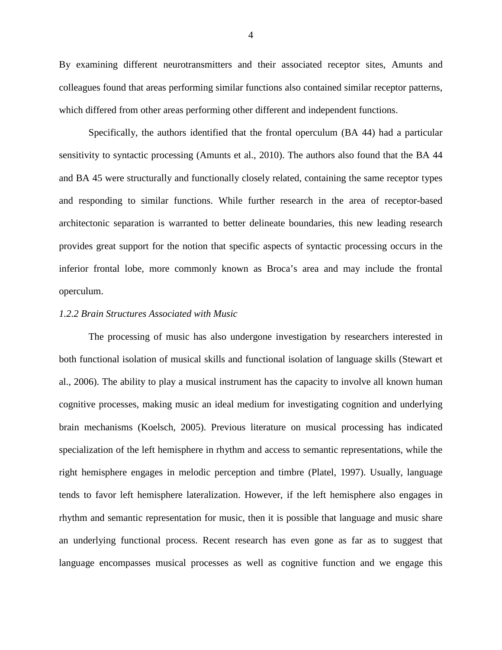By examining different neurotransmitters and their associated receptor sites, Amunts and colleagues found that areas performing similar functions also contained similar receptor patterns, which differed from other areas performing other different and independent functions.

Specifically, the authors identified that the frontal operculum (BA 44) had a particular sensitivity to syntactic processing (Amunts et al., 2010). The authors also found that the BA 44 and BA 45 were structurally and functionally closely related, containing the same receptor types and responding to similar functions. While further research in the area of receptor-based architectonic separation is warranted to better delineate boundaries, this new leading research provides great support for the notion that specific aspects of syntactic processing occurs in the inferior frontal lobe, more commonly known as Broca's area and may include the frontal operculum.

# <span id="page-12-0"></span>*1.2.2 Brain Structures Associated with Music*

The processing of music has also undergone investigation by researchers interested in both functional isolation of musical skills and functional isolation of language skills (Stewart et al., 2006). The ability to play a musical instrument has the capacity to involve all known human cognitive processes, making music an ideal medium for investigating cognition and underlying brain mechanisms (Koelsch, 2005). Previous literature on musical processing has indicated specialization of the left hemisphere in rhythm and access to semantic representations, while the right hemisphere engages in melodic perception and timbre (Platel, 1997). Usually, language tends to favor left hemisphere lateralization. However, if the left hemisphere also engages in rhythm and semantic representation for music, then it is possible that language and music share an underlying functional process. Recent research has even gone as far as to suggest that language encompasses musical processes as well as cognitive function and we engage this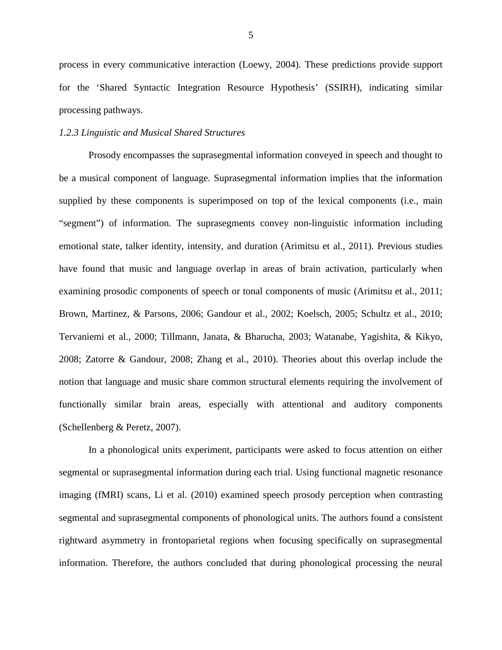process in every communicative interaction (Loewy, 2004). These predictions provide support for the 'Shared Syntactic Integration Resource Hypothesis' (SSIRH), indicating similar processing pathways.

# <span id="page-13-0"></span>*1.2.3 Linguistic and Musical Shared Structures*

Prosody encompasses the suprasegmental information conveyed in speech and thought to be a musical component of language. Suprasegmental information implies that the information supplied by these components is superimposed on top of the lexical components (i.e., main "segment") of information. The suprasegments convey non-linguistic information including emotional state, talker identity, intensity, and duration (Arimitsu et al., 2011). Previous studies have found that music and language overlap in areas of brain activation, particularly when examining prosodic components of speech or tonal components of music (Arimitsu et al., 2011; Brown, Martinez, & Parsons, 2006; Gandour et al., 2002; Koelsch, 2005; Schultz et al., 2010; Tervaniemi et al., 2000; Tillmann, Janata, & Bharucha, 2003; Watanabe, Yagishita, & Kikyo, 2008; Zatorre & Gandour, 2008; Zhang et al., 2010). Theories about this overlap include the notion that language and music share common structural elements requiring the involvement of functionally similar brain areas, especially with attentional and auditory components (Schellenberg & Peretz, 2007).

In a phonological units experiment, participants were asked to focus attention on either segmental or suprasegmental information during each trial. Using functional magnetic resonance imaging (fMRI) scans, Li et al. (2010) examined speech prosody perception when contrasting segmental and suprasegmental components of phonological units. The authors found a consistent rightward asymmetry in frontoparietal regions when focusing specifically on suprasegmental information. Therefore, the authors concluded that during phonological processing the neural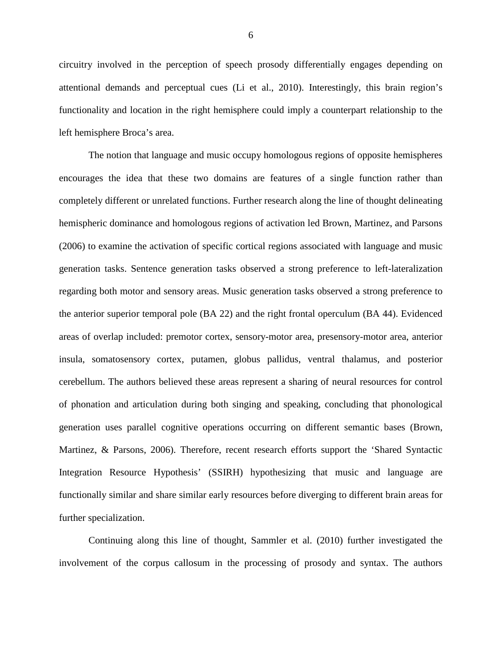circuitry involved in the perception of speech prosody differentially engages depending on attentional demands and perceptual cues (Li et al., 2010). Interestingly, this brain region's functionality and location in the right hemisphere could imply a counterpart relationship to the left hemisphere Broca's area.

The notion that language and music occupy homologous regions of opposite hemispheres encourages the idea that these two domains are features of a single function rather than completely different or unrelated functions. Further research along the line of thought delineating hemispheric dominance and homologous regions of activation led Brown, Martinez, and Parsons (2006) to examine the activation of specific cortical regions associated with language and music generation tasks. Sentence generation tasks observed a strong preference to left-lateralization regarding both motor and sensory areas. Music generation tasks observed a strong preference to the anterior superior temporal pole (BA 22) and the right frontal operculum (BA 44). Evidenced areas of overlap included: premotor cortex, sensory-motor area, presensory-motor area, anterior insula, somatosensory cortex, putamen, globus pallidus, ventral thalamus, and posterior cerebellum. The authors believed these areas represent a sharing of neural resources for control of phonation and articulation during both singing and speaking, concluding that phonological generation uses parallel cognitive operations occurring on different semantic bases (Brown, Martinez, & Parsons, 2006). Therefore, recent research efforts support the 'Shared Syntactic Integration Resource Hypothesis' (SSIRH) hypothesizing that music and language are functionally similar and share similar early resources before diverging to different brain areas for further specialization.

Continuing along this line of thought, Sammler et al. (2010) further investigated the involvement of the corpus callosum in the processing of prosody and syntax. The authors

6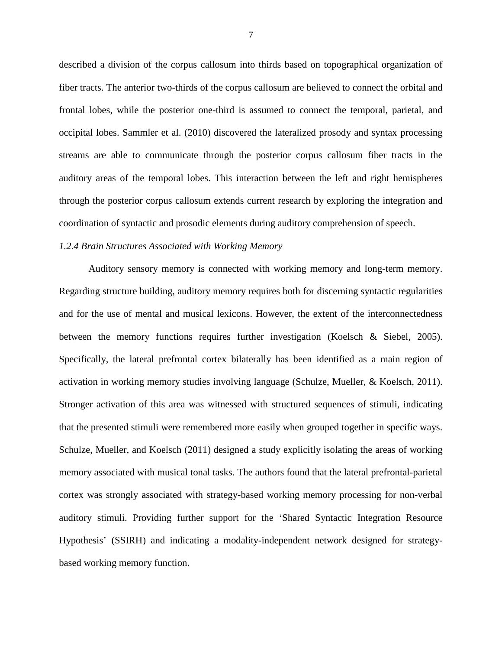described a division of the corpus callosum into thirds based on topographical organization of fiber tracts. The anterior two-thirds of the corpus callosum are believed to connect the orbital and frontal lobes, while the posterior one-third is assumed to connect the temporal, parietal, and occipital lobes. Sammler et al. (2010) discovered the lateralized prosody and syntax processing streams are able to communicate through the posterior corpus callosum fiber tracts in the auditory areas of the temporal lobes. This interaction between the left and right hemispheres through the posterior corpus callosum extends current research by exploring the integration and coordination of syntactic and prosodic elements during auditory comprehension of speech.

# <span id="page-15-0"></span>*1.2.4 Brain Structures Associated with Working Memory*

Auditory sensory memory is connected with working memory and long-term memory. Regarding structure building, auditory memory requires both for discerning syntactic regularities and for the use of mental and musical lexicons. However, the extent of the interconnectedness between the memory functions requires further investigation (Koelsch & Siebel, 2005). Specifically, the lateral prefrontal cortex bilaterally has been identified as a main region of activation in working memory studies involving language (Schulze, Mueller, & Koelsch, 2011). Stronger activation of this area was witnessed with structured sequences of stimuli, indicating that the presented stimuli were remembered more easily when grouped together in specific ways. Schulze, Mueller, and Koelsch (2011) designed a study explicitly isolating the areas of working memory associated with musical tonal tasks. The authors found that the lateral prefrontal-parietal cortex was strongly associated with strategy-based working memory processing for non-verbal auditory stimuli. Providing further support for the 'Shared Syntactic Integration Resource Hypothesis' (SSIRH) and indicating a modality-independent network designed for strategybased working memory function.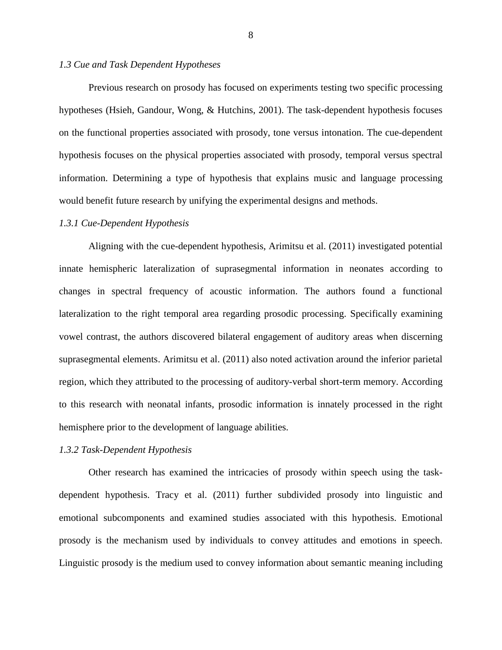# <span id="page-16-0"></span>*1.3 Cue and Task Dependent Hypotheses*

Previous research on prosody has focused on experiments testing two specific processing hypotheses (Hsieh, Gandour, Wong, & Hutchins, 2001). The task-dependent hypothesis focuses on the functional properties associated with prosody, tone versus intonation. The cue-dependent hypothesis focuses on the physical properties associated with prosody, temporal versus spectral information. Determining a type of hypothesis that explains music and language processing would benefit future research by unifying the experimental designs and methods.

#### <span id="page-16-1"></span>*1.3.1 Cue-Dependent Hypothesis*

Aligning with the cue-dependent hypothesis, Arimitsu et al. (2011) investigated potential innate hemispheric lateralization of suprasegmental information in neonates according to changes in spectral frequency of acoustic information. The authors found a functional lateralization to the right temporal area regarding prosodic processing. Specifically examining vowel contrast, the authors discovered bilateral engagement of auditory areas when discerning suprasegmental elements. Arimitsu et al. (2011) also noted activation around the inferior parietal region, which they attributed to the processing of auditory-verbal short-term memory. According to this research with neonatal infants, prosodic information is innately processed in the right hemisphere prior to the development of language abilities.

# <span id="page-16-2"></span>*1.3.2 Task-Dependent Hypothesis*

Other research has examined the intricacies of prosody within speech using the taskdependent hypothesis. Tracy et al. (2011) further subdivided prosody into linguistic and emotional subcomponents and examined studies associated with this hypothesis. Emotional prosody is the mechanism used by individuals to convey attitudes and emotions in speech. Linguistic prosody is the medium used to convey information about semantic meaning including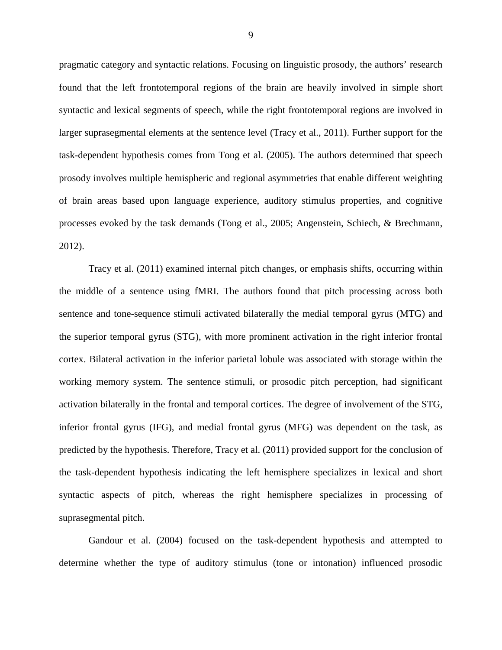pragmatic category and syntactic relations. Focusing on linguistic prosody, the authors' research found that the left frontotemporal regions of the brain are heavily involved in simple short syntactic and lexical segments of speech, while the right frontotemporal regions are involved in larger suprasegmental elements at the sentence level (Tracy et al., 2011). Further support for the task-dependent hypothesis comes from Tong et al. (2005). The authors determined that speech prosody involves multiple hemispheric and regional asymmetries that enable different weighting of brain areas based upon language experience, auditory stimulus properties, and cognitive processes evoked by the task demands (Tong et al., 2005; Angenstein, Schiech, & Brechmann, 2012).

Tracy et al. (2011) examined internal pitch changes, or emphasis shifts, occurring within the middle of a sentence using fMRI. The authors found that pitch processing across both sentence and tone-sequence stimuli activated bilaterally the medial temporal gyrus (MTG) and the superior temporal gyrus (STG), with more prominent activation in the right inferior frontal cortex. Bilateral activation in the inferior parietal lobule was associated with storage within the working memory system. The sentence stimuli, or prosodic pitch perception, had significant activation bilaterally in the frontal and temporal cortices. The degree of involvement of the STG, inferior frontal gyrus (IFG), and medial frontal gyrus (MFG) was dependent on the task, as predicted by the hypothesis. Therefore, Tracy et al. (2011) provided support for the conclusion of the task-dependent hypothesis indicating the left hemisphere specializes in lexical and short syntactic aspects of pitch, whereas the right hemisphere specializes in processing of suprasegmental pitch.

Gandour et al. (2004) focused on the task-dependent hypothesis and attempted to determine whether the type of auditory stimulus (tone or intonation) influenced prosodic

9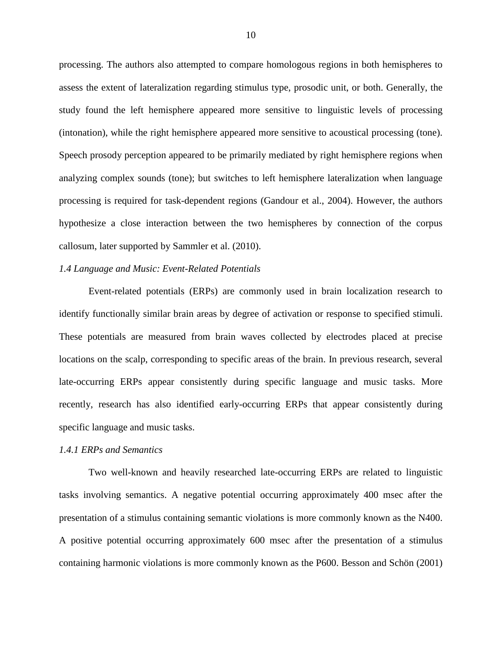processing. The authors also attempted to compare homologous regions in both hemispheres to assess the extent of lateralization regarding stimulus type, prosodic unit, or both. Generally, the study found the left hemisphere appeared more sensitive to linguistic levels of processing (intonation), while the right hemisphere appeared more sensitive to acoustical processing (tone). Speech prosody perception appeared to be primarily mediated by right hemisphere regions when analyzing complex sounds (tone); but switches to left hemisphere lateralization when language processing is required for task-dependent regions (Gandour et al., 2004). However, the authors hypothesize a close interaction between the two hemispheres by connection of the corpus callosum, later supported by Sammler et al. (2010).

# <span id="page-18-0"></span>*1.4 Language and Music: Event-Related Potentials*

Event-related potentials (ERPs) are commonly used in brain localization research to identify functionally similar brain areas by degree of activation or response to specified stimuli. These potentials are measured from brain waves collected by electrodes placed at precise locations on the scalp, corresponding to specific areas of the brain. In previous research, several late-occurring ERPs appear consistently during specific language and music tasks. More recently, research has also identified early-occurring ERPs that appear consistently during specific language and music tasks.

#### <span id="page-18-1"></span>*1.4.1 ERPs and Semantics*

Two well-known and heavily researched late-occurring ERPs are related to linguistic tasks involving semantics. A negative potential occurring approximately 400 msec after the presentation of a stimulus containing semantic violations is more commonly known as the N400. A positive potential occurring approximately 600 msec after the presentation of a stimulus containing harmonic violations is more commonly known as the P600. Besson and Schön (2001)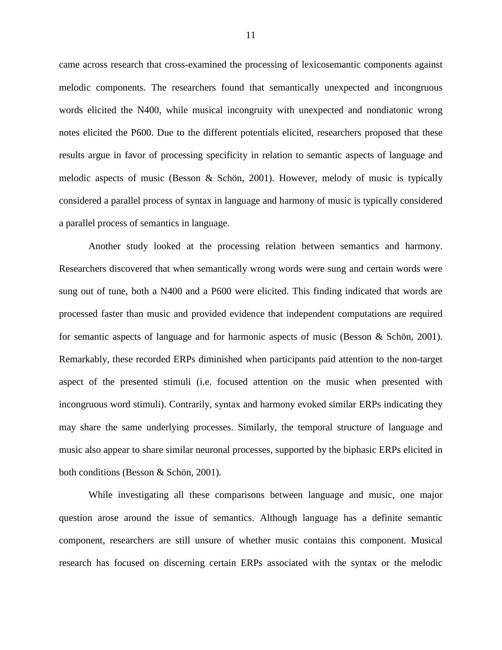came across research that cross-examined the processing of lexicosemantic components against melodic components. The researchers found that semantically unexpected and incongruous words elicited the N400, while musical incongruity with unexpected and nondiatonic wrong notes elicited the P600. Due to the different potentials elicited, researchers proposed that these results argue in favor of processing specificity in relation to semantic aspects of language and melodic aspects of music (Besson & Schön, 2001). However, melody of music is typically considered a parallel process of syntax in language and harmony of music is typically considered a parallel process of semantics in language.

Another study looked at the processing relation between semantics and harmony. Researchers discovered that when semantically wrong words were sung and certain words were sung out of tune, both a N400 and a P600 were elicited. This finding indicated that words are processed faster than music and provided evidence that independent computations are required for semantic aspects of language and for harmonic aspects of music (Besson & Schön, 2001). Remarkably, these recorded ERPs diminished when participants paid attention to the non-target aspect of the presented stimuli (i.e. focused attention on the music when presented with incongruous word stimuli). Contrarily, syntax and harmony evoked similar ERPs indicating they may share the same underlying processes. Similarly, the temporal structure of language and music also appear to share similar neuronal processes, supported by the biphasic ERPs elicited in both conditions (Besson & Schön, 2001)*.*

While investigating all these comparisons between language and music, one major question arose around the issue of semantics. Although language has a definite semantic component, researchers are still unsure of whether music contains this component. Musical research has focused on discerning certain ERPs associated with the syntax or the melodic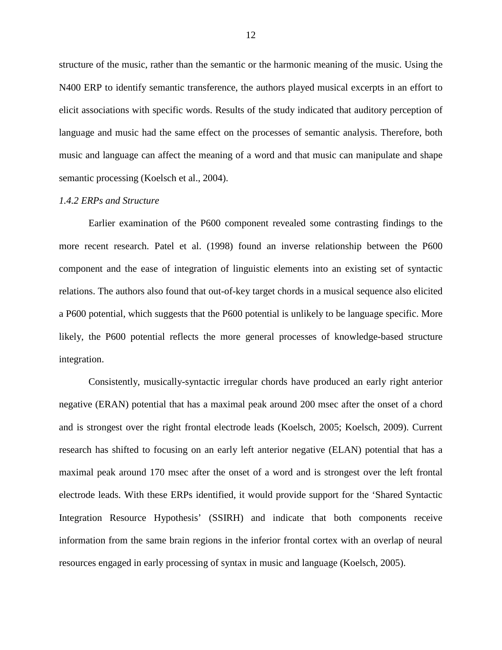structure of the music, rather than the semantic or the harmonic meaning of the music. Using the N400 ERP to identify semantic transference, the authors played musical excerpts in an effort to elicit associations with specific words. Results of the study indicated that auditory perception of language and music had the same effect on the processes of semantic analysis. Therefore, both music and language can affect the meaning of a word and that music can manipulate and shape semantic processing (Koelsch et al., 2004).

#### <span id="page-20-0"></span>*1.4.2 ERPs and Structure*

Earlier examination of the P600 component revealed some contrasting findings to the more recent research. Patel et al. (1998) found an inverse relationship between the P600 component and the ease of integration of linguistic elements into an existing set of syntactic relations. The authors also found that out-of-key target chords in a musical sequence also elicited a P600 potential, which suggests that the P600 potential is unlikely to be language specific. More likely, the P600 potential reflects the more general processes of knowledge-based structure integration.

Consistently, musically-syntactic irregular chords have produced an early right anterior negative (ERAN) potential that has a maximal peak around 200 msec after the onset of a chord and is strongest over the right frontal electrode leads (Koelsch, 2005; Koelsch, 2009). Current research has shifted to focusing on an early left anterior negative (ELAN) potential that has a maximal peak around 170 msec after the onset of a word and is strongest over the left frontal electrode leads. With these ERPs identified, it would provide support for the 'Shared Syntactic Integration Resource Hypothesis' (SSIRH) and indicate that both components receive information from the same brain regions in the inferior frontal cortex with an overlap of neural resources engaged in early processing of syntax in music and language (Koelsch, 2005).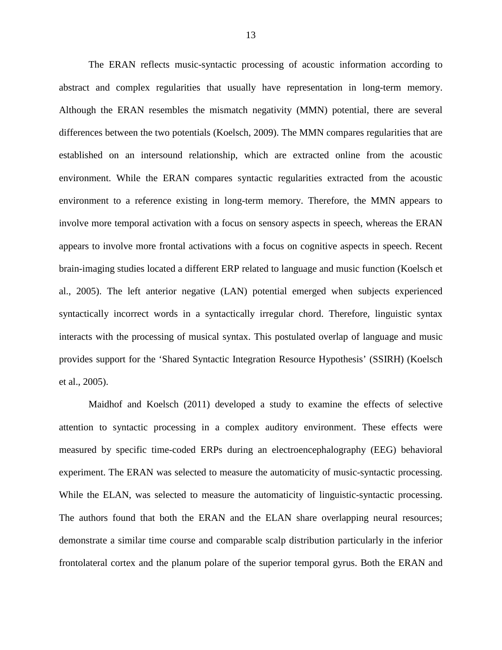The ERAN reflects music-syntactic processing of acoustic information according to abstract and complex regularities that usually have representation in long-term memory. Although the ERAN resembles the mismatch negativity (MMN) potential, there are several differences between the two potentials (Koelsch, 2009). The MMN compares regularities that are established on an intersound relationship, which are extracted online from the acoustic environment. While the ERAN compares syntactic regularities extracted from the acoustic environment to a reference existing in long-term memory. Therefore, the MMN appears to involve more temporal activation with a focus on sensory aspects in speech, whereas the ERAN appears to involve more frontal activations with a focus on cognitive aspects in speech. Recent brain-imaging studies located a different ERP related to language and music function (Koelsch et al., 2005). The left anterior negative (LAN) potential emerged when subjects experienced syntactically incorrect words in a syntactically irregular chord. Therefore, linguistic syntax interacts with the processing of musical syntax. This postulated overlap of language and music provides support for the 'Shared Syntactic Integration Resource Hypothesis' (SSIRH) (Koelsch et al., 2005).

Maidhof and Koelsch (2011) developed a study to examine the effects of selective attention to syntactic processing in a complex auditory environment. These effects were measured by specific time-coded ERPs during an electroencephalography (EEG) behavioral experiment. The ERAN was selected to measure the automaticity of music-syntactic processing. While the ELAN, was selected to measure the automaticity of linguistic-syntactic processing. The authors found that both the ERAN and the ELAN share overlapping neural resources; demonstrate a similar time course and comparable scalp distribution particularly in the inferior frontolateral cortex and the planum polare of the superior temporal gyrus. Both the ERAN and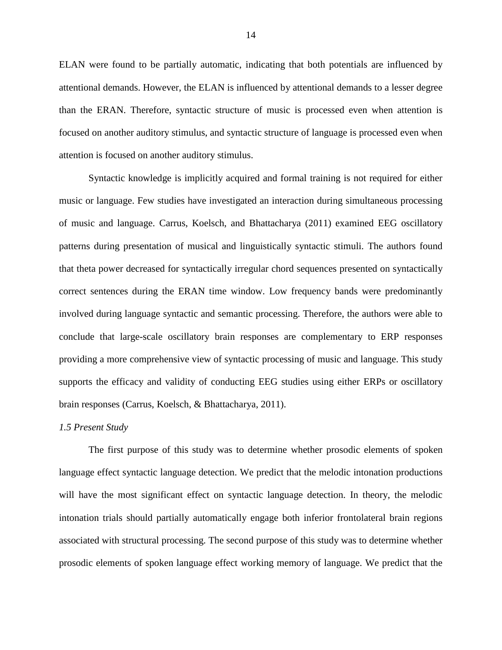ELAN were found to be partially automatic, indicating that both potentials are influenced by attentional demands. However, the ELAN is influenced by attentional demands to a lesser degree than the ERAN. Therefore, syntactic structure of music is processed even when attention is focused on another auditory stimulus, and syntactic structure of language is processed even when attention is focused on another auditory stimulus.

Syntactic knowledge is implicitly acquired and formal training is not required for either music or language. Few studies have investigated an interaction during simultaneous processing of music and language. Carrus, Koelsch, and Bhattacharya (2011) examined EEG oscillatory patterns during presentation of musical and linguistically syntactic stimuli. The authors found that theta power decreased for syntactically irregular chord sequences presented on syntactically correct sentences during the ERAN time window. Low frequency bands were predominantly involved during language syntactic and semantic processing. Therefore, the authors were able to conclude that large-scale oscillatory brain responses are complementary to ERP responses providing a more comprehensive view of syntactic processing of music and language. This study supports the efficacy and validity of conducting EEG studies using either ERPs or oscillatory brain responses (Carrus, Koelsch, & Bhattacharya, 2011).

#### <span id="page-22-0"></span>*1.5 Present Study*

The first purpose of this study was to determine whether prosodic elements of spoken language effect syntactic language detection. We predict that the melodic intonation productions will have the most significant effect on syntactic language detection. In theory, the melodic intonation trials should partially automatically engage both inferior frontolateral brain regions associated with structural processing. The second purpose of this study was to determine whether prosodic elements of spoken language effect working memory of language. We predict that the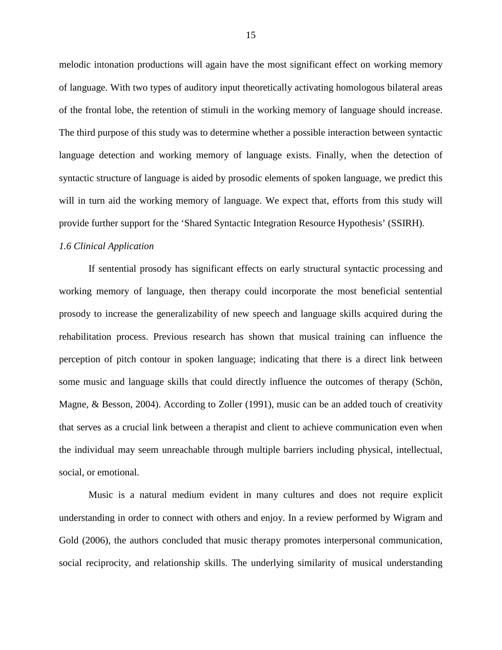melodic intonation productions will again have the most significant effect on working memory of language. With two types of auditory input theoretically activating homologous bilateral areas of the frontal lobe, the retention of stimuli in the working memory of language should increase. The third purpose of this study was to determine whether a possible interaction between syntactic language detection and working memory of language exists. Finally, when the detection of syntactic structure of language is aided by prosodic elements of spoken language, we predict this will in turn aid the working memory of language. We expect that, efforts from this study will provide further support for the 'Shared Syntactic Integration Resource Hypothesis' (SSIRH).

# <span id="page-23-0"></span>*1.6 Clinical Application*

If sentential prosody has significant effects on early structural syntactic processing and working memory of language, then therapy could incorporate the most beneficial sentential prosody to increase the generalizability of new speech and language skills acquired during the rehabilitation process. Previous research has shown that musical training can influence the perception of pitch contour in spoken language; indicating that there is a direct link between some music and language skills that could directly influence the outcomes of therapy (Schön, Magne, & Besson, 2004). According to Zoller (1991), music can be an added touch of creativity that serves as a crucial link between a therapist and client to achieve communication even when the individual may seem unreachable through multiple barriers including physical, intellectual, social, or emotional.

Music is a natural medium evident in many cultures and does not require explicit understanding in order to connect with others and enjoy. In a review performed by Wigram and Gold (2006), the authors concluded that music therapy promotes interpersonal communication, social reciprocity, and relationship skills. The underlying similarity of musical understanding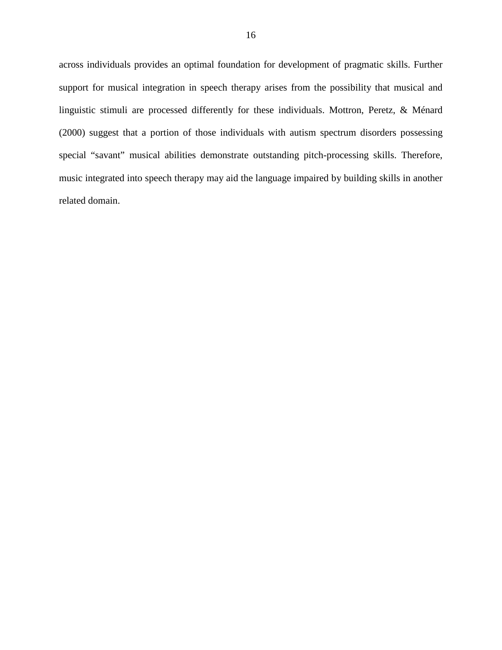across individuals provides an optimal foundation for development of pragmatic skills. Further support for musical integration in speech therapy arises from the possibility that musical and linguistic stimuli are processed differently for these individuals. Mottron, Peretz, & Ménard (2000) suggest that a portion of those individuals with autism spectrum disorders possessing special "savant" musical abilities demonstrate outstanding pitch-processing skills. Therefore, music integrated into speech therapy may aid the language impaired by building skills in another related domain.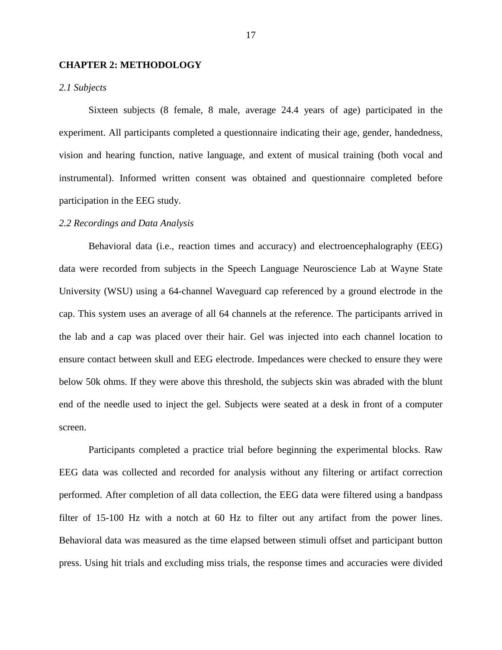## <span id="page-25-0"></span>**CHAPTER 2: METHODOLOGY**

# <span id="page-25-1"></span>*2.1 Subjects*

Sixteen subjects (8 female, 8 male, average 24.4 years of age) participated in the experiment. All participants completed a questionnaire indicating their age, gender, handedness, vision and hearing function, native language, and extent of musical training (both vocal and instrumental). Informed written consent was obtained and questionnaire completed before participation in the EEG study.

## <span id="page-25-2"></span>*2.2 Recordings and Data Analysis*

Behavioral data (i.e., reaction times and accuracy) and electroencephalography (EEG) data were recorded from subjects in the Speech Language Neuroscience Lab at Wayne State University (WSU) using a 64-channel Waveguard cap referenced by a ground electrode in the cap. This system uses an average of all 64 channels at the reference. The participants arrived in the lab and a cap was placed over their hair. Gel was injected into each channel location to ensure contact between skull and EEG electrode. Impedances were checked to ensure they were below 50k ohms. If they were above this threshold, the subjects skin was abraded with the blunt end of the needle used to inject the gel. Subjects were seated at a desk in front of a computer screen.

Participants completed a practice trial before beginning the experimental blocks. Raw EEG data was collected and recorded for analysis without any filtering or artifact correction performed. After completion of all data collection, the EEG data were filtered using a bandpass filter of 15-100 Hz with a notch at 60 Hz to filter out any artifact from the power lines. Behavioral data was measured as the time elapsed between stimuli offset and participant button press. Using hit trials and excluding miss trials, the response times and accuracies were divided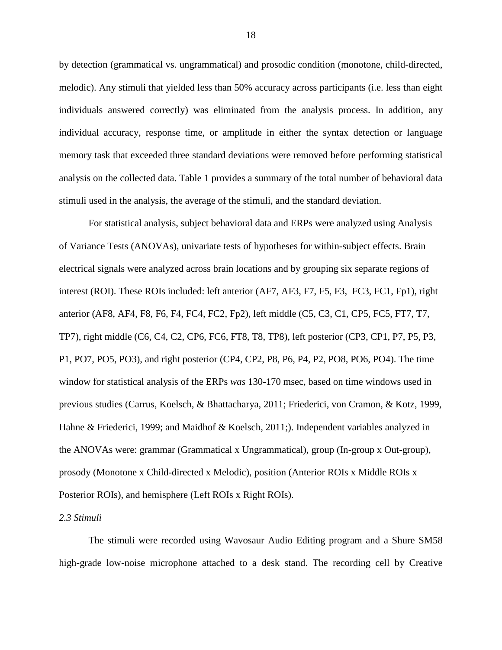by detection (grammatical vs. ungrammatical) and prosodic condition (monotone, child-directed, melodic). Any stimuli that yielded less than 50% accuracy across participants (i.e. less than eight individuals answered correctly) was eliminated from the analysis process. In addition, any individual accuracy, response time, or amplitude in either the syntax detection or language memory task that exceeded three standard deviations were removed before performing statistical analysis on the collected data. Table 1 provides a summary of the total number of behavioral data stimuli used in the analysis, the average of the stimuli, and the standard deviation.

For statistical analysis, subject behavioral data and ERPs were analyzed using Analysis of Variance Tests (ANOVAs), univariate tests of hypotheses for within-subject effects. Brain electrical signals were analyzed across brain locations and by grouping six separate regions of interest (ROI). These ROIs included: left anterior (AF7, AF3, F7, F5, F3, FC3, FC1, Fp1), right anterior (AF8, AF4, F8, F6, F4, FC4, FC2, Fp2), left middle (C5, C3, C1, CP5, FC5, FT7, T7, TP7), right middle (C6, C4, C2, CP6, FC6, FT8, T8, TP8), left posterior (CP3, CP1, P7, P5, P3, P1, PO7, PO5, PO3), and right posterior (CP4, CP2, P8, P6, P4, P2, PO8, PO6, PO4). The time window for statistical analysis of the ERPs *was* 130-170 msec, based on time windows used in previous studies (Carrus, Koelsch, & Bhattacharya, 2011; Friederici, von Cramon, & Kotz, 1999, Hahne & Friederici, 1999; and Maidhof & Koelsch, 2011;). Independent variables analyzed in the ANOVAs were: grammar (Grammatical x Ungrammatical), group (In-group x Out-group), prosody (Monotone x Child-directed x Melodic), position (Anterior ROIs x Middle ROIs x Posterior ROIs), and hemisphere (Left ROIs x Right ROIs).

# <span id="page-26-0"></span>*2.3 Stimuli*

The stimuli were recorded using Wavosaur Audio Editing program and a Shure SM58 high-grade low-noise microphone attached to a desk stand. The recording cell by Creative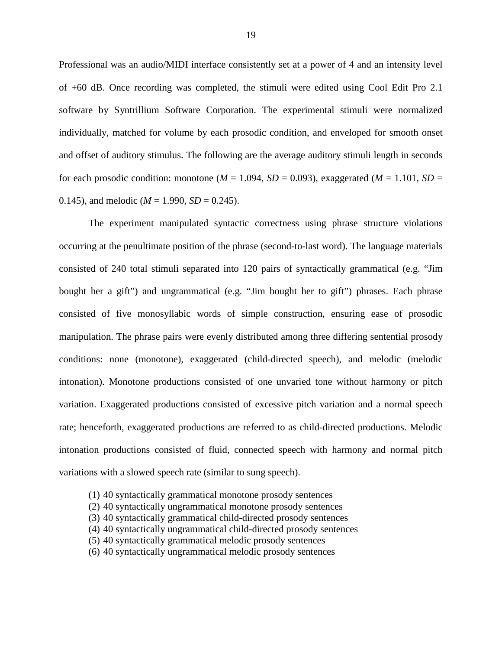Professional was an audio/MIDI interface consistently set at a power of 4 and an intensity level of +60 dB. Once recording was completed, the stimuli were edited using Cool Edit Pro 2.1 software by Syntrillium Software Corporation. The experimental stimuli were normalized individually, matched for volume by each prosodic condition, and enveloped for smooth onset and offset of auditory stimulus. The following are the average auditory stimuli length in seconds for each prosodic condition: monotone ( $M = 1.094$ ,  $SD = 0.093$ ), exaggerated ( $M = 1.101$ ,  $SD =$ 0.145), and melodic  $(M = 1.990, SD = 0.245)$ .

The experiment manipulated syntactic correctness using phrase structure violations occurring at the penultimate position of the phrase (second-to-last word). The language materials consisted of 240 total stimuli separated into 120 pairs of syntactically grammatical (e.g. "Jim bought her a gift") and ungrammatical (e.g. "Jim bought her to gift") phrases. Each phrase consisted of five monosyllabic words of simple construction, ensuring ease of prosodic manipulation. The phrase pairs were evenly distributed among three differing sentential prosody conditions: none (monotone), exaggerated (child-directed speech), and melodic (melodic intonation). Monotone productions consisted of one unvaried tone without harmony or pitch variation. Exaggerated productions consisted of excessive pitch variation and a normal speech rate; henceforth, exaggerated productions are referred to as child-directed productions. Melodic intonation productions consisted of fluid, connected speech with harmony and normal pitch variations with a slowed speech rate (similar to sung speech).

- (1) 40 syntactically grammatical monotone prosody sentences
- (2) 40 syntactically ungrammatical monotone prosody sentences
- (3) 40 syntactically grammatical child-directed prosody sentences
- (4) 40 syntactically ungrammatical child-directed prosody sentences
- (5) 40 syntactically grammatical melodic prosody sentences
- (6) 40 syntactically ungrammatical melodic prosody sentences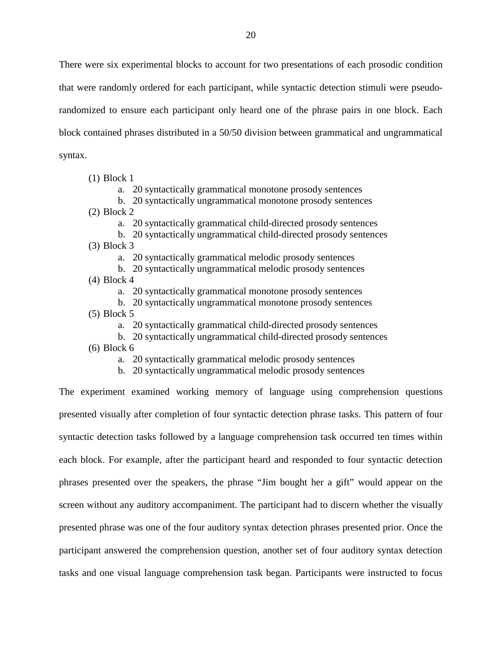There were six experimental blocks to account for two presentations of each prosodic condition that were randomly ordered for each participant, while syntactic detection stimuli were pseudorandomized to ensure each participant only heard one of the phrase pairs in one block. Each block contained phrases distributed in a 50/50 division between grammatical and ungrammatical syntax.

(1) Block 1

a. 20 syntactically grammatical monotone prosody sentences

b. 20 syntactically ungrammatical monotone prosody sentences

(2) Block 2

a. 20 syntactically grammatical child-directed prosody sentences

- b. 20 syntactically ungrammatical child-directed prosody sentences
- (3) Block 3

a. 20 syntactically grammatical melodic prosody sentences

- b. 20 syntactically ungrammatical melodic prosody sentences
- (4) Block 4

a. 20 syntactically grammatical monotone prosody sentences

- b. 20 syntactically ungrammatical monotone prosody sentences (5) Block 5
	- a. 20 syntactically grammatical child-directed prosody sentences
	- b. 20 syntactically ungrammatical child-directed prosody sentences

(6) Block 6

a. 20 syntactically grammatical melodic prosody sentences

b. 20 syntactically ungrammatical melodic prosody sentences

The experiment examined working memory of language using comprehension questions presented visually after completion of four syntactic detection phrase tasks. This pattern of four syntactic detection tasks followed by a language comprehension task occurred ten times within each block. For example, after the participant heard and responded to four syntactic detection phrases presented over the speakers, the phrase "Jim bought her a gift" would appear on the screen without any auditory accompaniment. The participant had to discern whether the visually presented phrase was one of the four auditory syntax detection phrases presented prior. Once the participant answered the comprehension question, another set of four auditory syntax detection tasks and one visual language comprehension task began. Participants were instructed to focus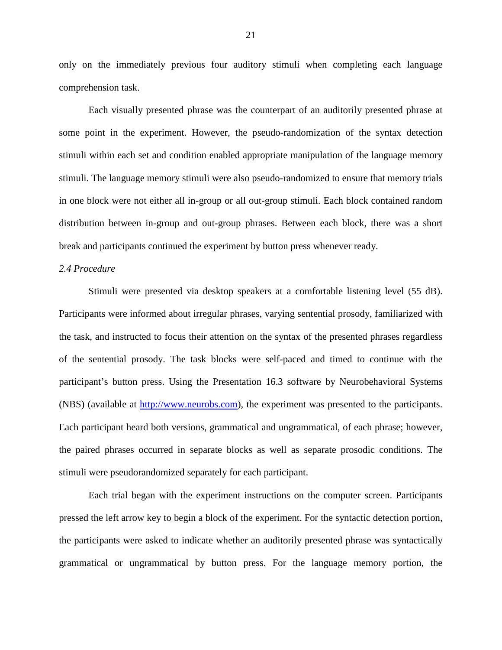only on the immediately previous four auditory stimuli when completing each language comprehension task.

Each visually presented phrase was the counterpart of an auditorily presented phrase at some point in the experiment. However, the pseudo-randomization of the syntax detection stimuli within each set and condition enabled appropriate manipulation of the language memory stimuli. The language memory stimuli were also pseudo-randomized to ensure that memory trials in one block were not either all in-group or all out-group stimuli. Each block contained random distribution between in-group and out-group phrases. Between each block, there was a short break and participants continued the experiment by button press whenever ready.

#### <span id="page-29-0"></span>*2.4 Procedure*

Stimuli were presented via desktop speakers at a comfortable listening level (55 dB). Participants were informed about irregular phrases, varying sentential prosody, familiarized with the task, and instructed to focus their attention on the syntax of the presented phrases regardless of the sentential prosody. The task blocks were self-paced and timed to continue with the participant's button press. Using the Presentation 16.3 software by Neurobehavioral Systems (NBS) (available at [http://www.neurobs.com\)](http://www.neurobs.com/), the experiment was presented to the participants. Each participant heard both versions, grammatical and ungrammatical, of each phrase; however, the paired phrases occurred in separate blocks as well as separate prosodic conditions. The stimuli were pseudorandomized separately for each participant.

Each trial began with the experiment instructions on the computer screen. Participants pressed the left arrow key to begin a block of the experiment. For the syntactic detection portion, the participants were asked to indicate whether an auditorily presented phrase was syntactically grammatical or ungrammatical by button press. For the language memory portion, the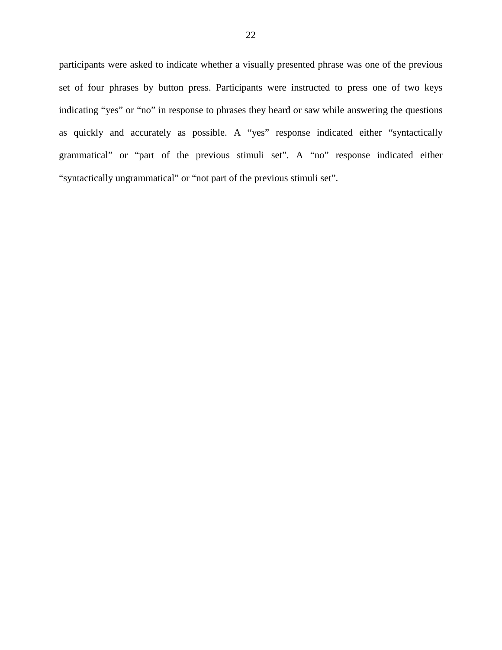participants were asked to indicate whether a visually presented phrase was one of the previous set of four phrases by button press. Participants were instructed to press one of two keys indicating "yes" or "no" in response to phrases they heard or saw while answering the questions as quickly and accurately as possible. A "yes" response indicated either "syntactically grammatical" or "part of the previous stimuli set". A "no" response indicated either "syntactically ungrammatical" or "not part of the previous stimuli set".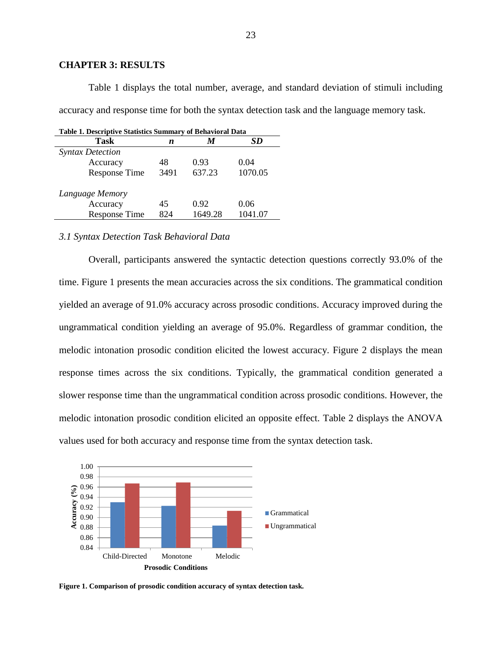#### <span id="page-31-0"></span>**CHAPTER 3: RESULTS**

Table 1 displays the total number, average, and standard deviation of stimuli including accuracy and response time for both the syntax detection task and the language memory task.

<span id="page-31-2"></span>

| <b>Table 1. Descriptive Statistics Summary of Behavioral Data</b> |      |         |         |  |  |  |  |  |  |
|-------------------------------------------------------------------|------|---------|---------|--|--|--|--|--|--|
| Task                                                              | n    | M       | SD      |  |  |  |  |  |  |
| <b>Syntax Detection</b>                                           |      |         |         |  |  |  |  |  |  |
| Accuracy                                                          | 48   | 0.93    | 0.04    |  |  |  |  |  |  |
| <b>Response Time</b>                                              | 3491 | 637.23  | 1070.05 |  |  |  |  |  |  |
| Language Memory                                                   |      |         |         |  |  |  |  |  |  |
| Accuracy                                                          | 45   | 0.92    | 0.06    |  |  |  |  |  |  |
| <b>Response Time</b>                                              | 824  | 1649.28 | 1041.07 |  |  |  |  |  |  |

#### <span id="page-31-1"></span>*3.1 Syntax Detection Task Behavioral Data*

Overall, participants answered the syntactic detection questions correctly 93.0% of the time. Figure 1 presents the mean accuracies across the six conditions. The grammatical condition yielded an average of 91.0% accuracy across prosodic conditions. Accuracy improved during the ungrammatical condition yielding an average of 95.0%. Regardless of grammar condition, the melodic intonation prosodic condition elicited the lowest accuracy. Figure 2 displays the mean response times across the six conditions. Typically, the grammatical condition generated a slower response time than the ungrammatical condition across prosodic conditions. However, the melodic intonation prosodic condition elicited an opposite effect. Table 2 displays the ANOVA values used for both accuracy and response time from the syntax detection task.



<span id="page-31-3"></span>**Figure 1. Comparison of prosodic condition accuracy of syntax detection task.**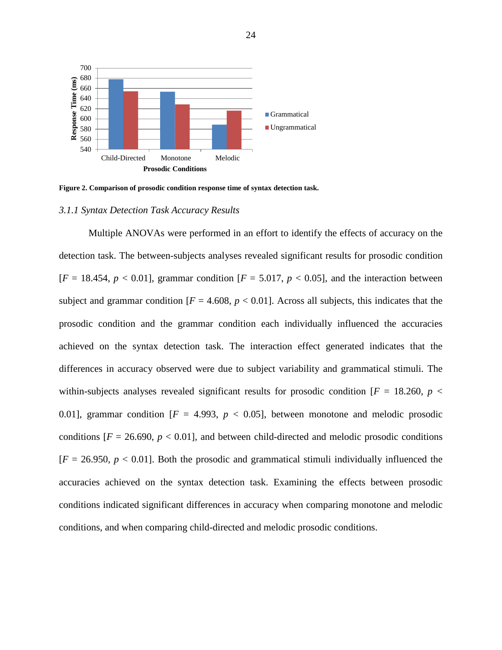

<span id="page-32-1"></span>**Figure 2. Comparison of prosodic condition response time of syntax detection task.**

#### <span id="page-32-0"></span>*3.1.1 Syntax Detection Task Accuracy Results*

Multiple ANOVAs were performed in an effort to identify the effects of accuracy on the detection task. The between-subjects analyses revealed significant results for prosodic condition  $[F = 18.454, p < 0.01]$ , grammar condition  $[F = 5.017, p < 0.05]$ , and the interaction between subject and grammar condition  $[F = 4.608, p < 0.01]$ . Across all subjects, this indicates that the prosodic condition and the grammar condition each individually influenced the accuracies achieved on the syntax detection task. The interaction effect generated indicates that the differences in accuracy observed were due to subject variability and grammatical stimuli. The within-subjects analyses revealed significant results for prosodic condition  $F = 18.260$ ,  $p <$ 0.01], grammar condition  $[F = 4.993, p < 0.05]$ , between monotone and melodic prosodic conditions  $[F = 26.690, p < 0.01]$ , and between child-directed and melodic prosodic conditions  $[F = 26.950, p < 0.01]$ . Both the prosodic and grammatical stimuli individually influenced the accuracies achieved on the syntax detection task. Examining the effects between prosodic conditions indicated significant differences in accuracy when comparing monotone and melodic conditions, and when comparing child-directed and melodic prosodic conditions.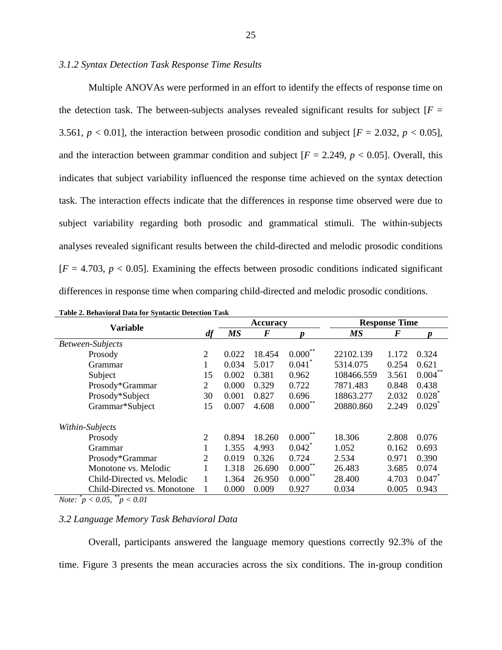# <span id="page-33-0"></span>*3.1.2 Syntax Detection Task Response Time Results*

Multiple ANOVAs were performed in an effort to identify the effects of response time on the detection task. The between-subjects analyses revealed significant results for subject  $[F =$ 3.561,  $p < 0.01$ ], the interaction between prosodic condition and subject  $[F = 2.032, p < 0.05]$ , and the interaction between grammar condition and subject  $[F = 2.249, p < 0.05]$ . Overall, this indicates that subject variability influenced the response time achieved on the syntax detection task. The interaction effects indicate that the differences in response time observed were due to subject variability regarding both prosodic and grammatical stimuli. The within-subjects analyses revealed significant results between the child-directed and melodic prosodic conditions  $[F = 4.703, p < 0.05]$ . Examining the effects between prosodic conditions indicated significant differences in response time when comparing child-directed and melodic prosodic conditions.

| таріс 2. Бенатібі ат Бата тог бунтасис Бенесибіг таріс |                |           | <b>Accuracy</b> |                      | <b>Response Time</b> |       |                      |
|--------------------------------------------------------|----------------|-----------|-----------------|----------------------|----------------------|-------|----------------------|
| <b>Variable</b>                                        | df             | <b>MS</b> | $\bm{F}$        |                      | <b>MS</b>            | F     |                      |
| Between-Subjects                                       |                |           |                 |                      |                      |       |                      |
| Prosody                                                | $\overline{2}$ | 0.022     | 18.454          | $0.000***$           | 22102.139            | 1.172 | 0.324                |
| Grammar                                                | 1              | 0.034     | 5.017           | $0.041$ <sup>*</sup> | 5314.075             | 0.254 | 0.621                |
| Subject                                                | 15             | 0.002     | 0.381           | 0.962                | 108466.559           | 3.561 | $0.004***$           |
| Prosody*Grammar                                        | 2              | 0.000     | 0.329           | 0.722                | 7871.483             | 0.848 | 0.438                |
| Prosody*Subject                                        |                | 0.001     | 0.827           | 0.696                | 18863.277            | 2.032 | $0.028^*$            |
| Grammar*Subject                                        | 15             | 0.007     | 4.608           | $0.000***$           | 20880.860            | 2.249 | $0.029$ <sup>*</sup> |
| Within-Subjects                                        |                |           |                 |                      |                      |       |                      |
| Prosody                                                | $\overline{2}$ | 0.894     | 18.260          | $0.000$ **           | 18.306               | 2.808 | 0.076                |
| Grammar                                                |                | 1.355     | 4.993           | $0.042$ <sup>*</sup> | 1.052                | 0.162 | 0.693                |
| Prosody*Grammar                                        |                | 0.019     | 0.326           | 0.724                | 2.534                | 0.971 | 0.390                |
| Monotone vs. Melodic                                   |                | 1.318     | 26.690          | $0.000***$           | 26.483               | 3.685 | 0.074                |
| Child-Directed vs. Melodic<br>1                        |                | 1.364     | 26.950          | $0.000***$           | 28.400               | 4.703 | 0.047                |
| Child-Directed vs. Monotone                            | 1              | 0.000     | 0.009           | 0.927                | 0.034                | 0.005 | 0.943                |

<span id="page-33-2"></span>

| Table 2. Behavioral Data for Syntactic Detection Task |  |
|-------------------------------------------------------|--|
|-------------------------------------------------------|--|

*Note: \* p < 0.05, \*\*p < 0.01*

# <span id="page-33-1"></span>*3.2 Language Memory Task Behavioral Data*

Overall, participants answered the language memory questions correctly 92.3% of the time. Figure 3 presents the mean accuracies across the six conditions. The in-group condition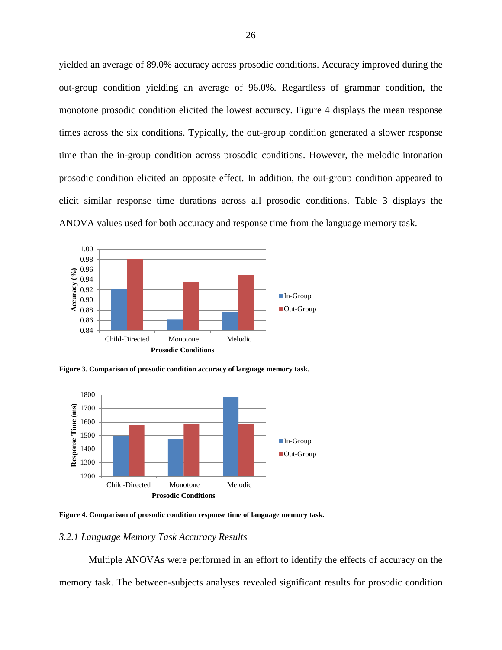yielded an average of 89.0% accuracy across prosodic conditions. Accuracy improved during the out-group condition yielding an average of 96.0%. Regardless of grammar condition, the monotone prosodic condition elicited the lowest accuracy. Figure 4 displays the mean response times across the six conditions. Typically, the out-group condition generated a slower response time than the in-group condition across prosodic conditions. However, the melodic intonation prosodic condition elicited an opposite effect. In addition, the out-group condition appeared to elicit similar response time durations across all prosodic conditions. Table 3 displays the ANOVA values used for both accuracy and response time from the language memory task.



<span id="page-34-1"></span>**Figure 3. Comparison of prosodic condition accuracy of language memory task.**



<span id="page-34-2"></span>**Figure 4. Comparison of prosodic condition response time of language memory task.**

# <span id="page-34-0"></span>*3.2.1 Language Memory Task Accuracy Results*

Multiple ANOVAs were performed in an effort to identify the effects of accuracy on the memory task. The between-subjects analyses revealed significant results for prosodic condition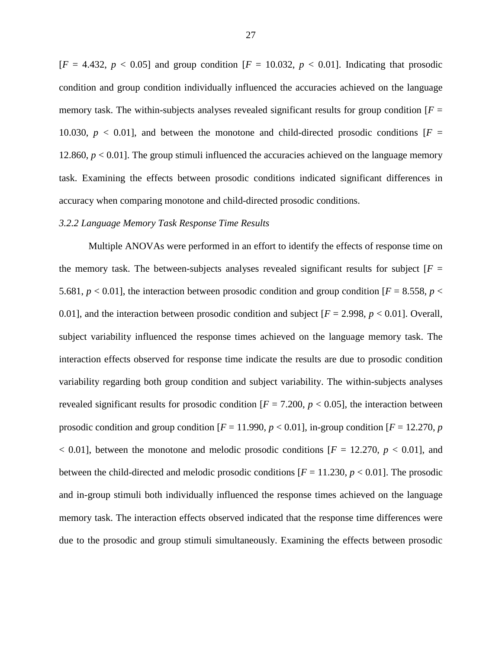$[F = 4.432, p < 0.05]$  and group condition  $[F = 10.032, p < 0.01]$ . Indicating that prosodic condition and group condition individually influenced the accuracies achieved on the language memory task. The within-subjects analyses revealed significant results for group condition  $F =$ 10.030,  $p < 0.01$ ], and between the monotone and child-directed prosodic conditions  $F =$ 12.860,  $p < 0.01$ ]. The group stimuli influenced the accuracies achieved on the language memory task. Examining the effects between prosodic conditions indicated significant differences in accuracy when comparing monotone and child-directed prosodic conditions.

#### <span id="page-35-0"></span>*3.2.2 Language Memory Task Response Time Results*

Multiple ANOVAs were performed in an effort to identify the effects of response time on the memory task. The between-subjects analyses revealed significant results for subject  $[F =$ 5.681,  $p < 0.01$ ], the interaction between prosodic condition and group condition  $[F = 8.558, p <$ 0.01], and the interaction between prosodic condition and subject  $[F = 2.998, p < 0.01]$ . Overall, subject variability influenced the response times achieved on the language memory task. The interaction effects observed for response time indicate the results are due to prosodic condition variability regarding both group condition and subject variability. The within-subjects analyses revealed significant results for prosodic condition  $[F = 7.200, p < 0.05]$ , the interaction between prosodic condition and group condition  $[F = 11.990, p < 0.01]$ , in-group condition  $[F = 12.270, p$  $<$  0.01], between the monotone and melodic prosodic conditions [ $F = 12.270$ ,  $p < 0.01$ ], and between the child-directed and melodic prosodic conditions  $[F = 11.230, p < 0.01]$ . The prosodic and in-group stimuli both individually influenced the response times achieved on the language memory task. The interaction effects observed indicated that the response time differences were due to the prosodic and group stimuli simultaneously. Examining the effects between prosodic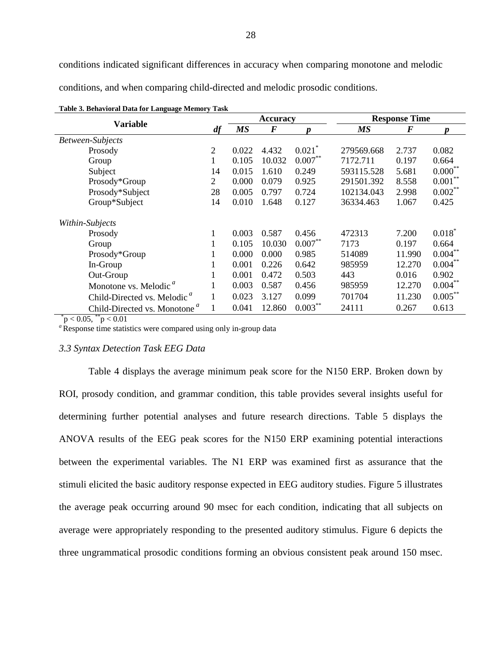conditions indicated significant differences in accuracy when comparing monotone and melodic

<span id="page-36-1"></span>conditions, and when comparing child-directed and melodic prosodic conditions.

|                                          |    |           | <b>Accuracy</b> |                      | <b>Response Time</b> |          |            |  |
|------------------------------------------|----|-----------|-----------------|----------------------|----------------------|----------|------------|--|
| Variable                                 | df | <b>MS</b> | $\bm{F}$        | Ŋ                    | <b>MS</b>            | $\bm{F}$ | Ŋ          |  |
| Between-Subjects                         |    |           |                 |                      |                      |          |            |  |
| Prosody                                  | 2  | 0.022     | 4.432           | $0.021$ <sup>*</sup> | 279569.668           | 2.737    | 0.082      |  |
| Group                                    | 1  | 0.105     | 10.032          | $0.007***$           | 7172.711             | 0.197    | 0.664      |  |
| Subject                                  | 14 | 0.015     | 1.610           | 0.249                | 593115.528           | 5.681    | $0.000***$ |  |
| Prosody*Group                            | 2  | 0.000     | 0.079           | 0.925                | 291501.392           | 8.558    | 0.001      |  |
| Prosody*Subject                          | 28 | 0.005     | 0.797           | 0.724                | 102134.043           | 2.998    | 0.002      |  |
| Group*Subject                            |    | 0.010     | 1.648           | 0.127                | 36334.463            | 1.067    | 0.425      |  |
| Within-Subjects                          |    |           |                 |                      |                      |          |            |  |
| Prosody                                  |    | 0.003     | 0.587           | 0.456                | 472313               | 7.200    | $0.018^*$  |  |
| Group                                    | 1  | 0.105     | 10.030          | $0.007***$           | 7173                 | 0.197    | 0.664      |  |
| Prosody*Group                            | 1  | 0.000     | 0.000           | 0.985                | 514089               | 11.990   | $0.004***$ |  |
| In-Group                                 |    | 0.001     | 0.226           | 0.642                | 985959               | 12.270   | $0.004***$ |  |
| Out-Group                                |    | 0.001     | 0.472           | 0.503                | 443                  | 0.016    | 0.902      |  |
| Monotone vs. Melodic <sup>"</sup>        |    | 0.003     | 0.587           | 0.456                | 985959               | 12.270   | $0.004***$ |  |
| Child-Directed vs. Melodic <sup>a</sup>  | 1  | 0.023     | 3.127           | 0.099                | 701704               | 11.230   | $0.005***$ |  |
| Child-Directed vs. Monotone <sup>a</sup> |    | 0.041     | 12.860          | $0.003***$           | 24111                | 0.267    | 0.613      |  |

 $p < 0.05$ ,  $p < 0.01$ 

<sup>a</sup> Response time statistics were compared using only in-group data

#### <span id="page-36-0"></span>*3.3 Syntax Detection Task EEG Data*

Table 4 displays the average minimum peak score for the N150 ERP. Broken down by ROI, prosody condition, and grammar condition, this table provides several insights useful for determining further potential analyses and future research directions. Table 5 displays the ANOVA results of the EEG peak scores for the N150 ERP examining potential interactions between the experimental variables. The N1 ERP was examined first as assurance that the stimuli elicited the basic auditory response expected in EEG auditory studies. Figure 5 illustrates the average peak occurring around 90 msec for each condition, indicating that all subjects on average were appropriately responding to the presented auditory stimulus. Figure 6 depicts the three ungrammatical prosodic conditions forming an obvious consistent peak around 150 msec.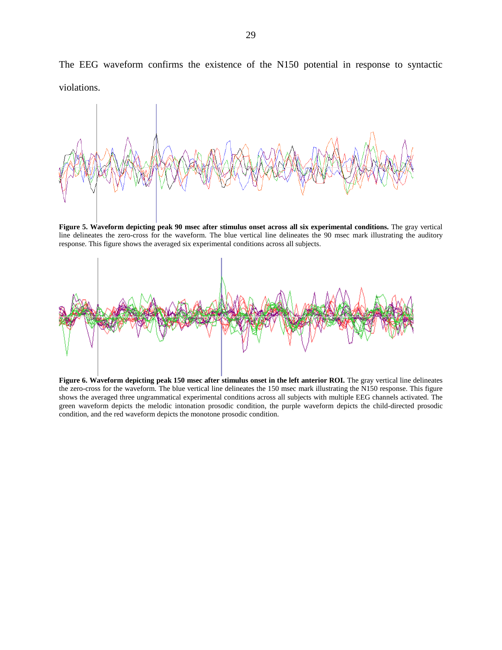The EEG waveform confirms the existence of the N150 potential in response to syntactic violations.



<span id="page-37-1"></span>**Figure 5. Waveform depicting peak 90 msec after stimulus onset across all six experimental conditions.** The gray vertical line delineates the zero-cross for the waveform. The blue vertical line delineates the 90 msec mark illustrating the auditory response. This figure shows the averaged six experimental conditions across all subjects.



<span id="page-37-2"></span><span id="page-37-0"></span>Figure 6. Waveform depicting peak 150 msec after stimulus onset in the left anterior ROI. The gray vertical line delineates the zero-cross for the waveform. The blue vertical line delineates the 150 msec mark illustrating the N150 response. This figure shows the averaged three ungrammatical experimental conditions across all subjects with multiple EEG channels activated. The green waveform depicts the melodic intonation prosodic condition, the purple waveform depicts the child-directed prosodic condition, and the red waveform depicts the monotone prosodic condition.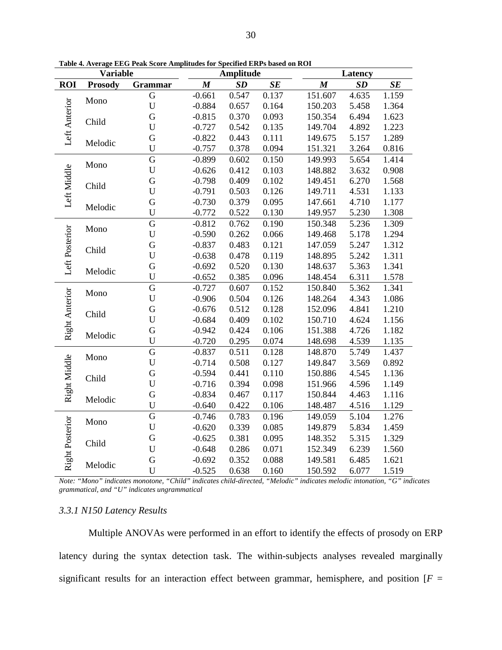|                 | <b>Variable</b> |             |                  | <b>Amplitude</b> |       |                  | Latency |       |  |
|-----------------|-----------------|-------------|------------------|------------------|-------|------------------|---------|-------|--|
| <b>ROI</b>      | <b>Prosody</b>  | Grammar     | $\boldsymbol{M}$ | SD               | SE    | $\boldsymbol{M}$ | SD      | SE    |  |
|                 | Mono            | G           | $-0.661$         | 0.547            | 0.137 | 151.607          | 4.635   | 1.159 |  |
| Left Anterior   |                 | $\mathbf U$ | $-0.884$         | 0.657            | 0.164 | 150.203          | 5.458   | 1.364 |  |
|                 | Child           | $\mathbf G$ | $-0.815$         | 0.370            | 0.093 | 150.354          | 6.494   | 1.623 |  |
|                 |                 | U           | $-0.727$         | 0.542            | 0.135 | 149.704          | 4.892   | 1.223 |  |
|                 | Melodic         | $\mathbf G$ | $-0.822$         | 0.443            | 0.111 | 149.675          | 5.157   | 1.289 |  |
|                 |                 | U           | $-0.757$         | 0.378            | 0.094 | 151.321          | 3.264   | 0.816 |  |
|                 | Mono            | G           | $-0.899$         | 0.602            | 0.150 | 149.993          | 5.654   | 1.414 |  |
| Left Middle     |                 | $\mathbf U$ | $-0.626$         | 0.412            | 0.103 | 148.882          | 3.632   | 0.908 |  |
|                 | Child           | G           | $-0.798$         | 0.409            | 0.102 | 149.451          | 6.270   | 1.568 |  |
|                 |                 | $\mathbf U$ | $-0.791$         | 0.503            | 0.126 | 149.711          | 4.531   | 1.133 |  |
|                 | Melodic         | $\mathbf G$ | $-0.730$         | 0.379            | 0.095 | 147.661          | 4.710   | 1.177 |  |
|                 |                 | U           | $-0.772$         | 0.522            | 0.130 | 149.957          | 5.230   | 1.308 |  |
|                 |                 | G           | $-0.812$         | 0.762            | 0.190 | 150.348          | 5.236   | 1.309 |  |
|                 | Mono            | $\mathbf U$ | $-0.590$         | 0.262            | 0.066 | 149.468          | 5.178   | 1.294 |  |
|                 |                 | G           | $-0.837$         | 0.483            | 0.121 | 147.059          | 5.247   | 1.312 |  |
| Left Posterior  | Child           | $\mathbf U$ | $-0.638$         | 0.478            | 0.119 | 148.895          | 5.242   | 1.311 |  |
|                 | Melodic         | ${\bf G}$   | $-0.692$         | 0.520            | 0.130 | 148.637          | 5.363   | 1.341 |  |
|                 |                 | $\mathbf U$ | $-0.652$         | 0.385            | 0.096 | 148.454          | 6.311   | 1.578 |  |
|                 | Mono            | $\mathbf G$ | $-0.727$         | 0.607            | 0.152 | 150.840          | 5.362   | 1.341 |  |
| Right Anterior  |                 | U           | $-0.906$         | 0.504            | 0.126 | 148.264          | 4.343   | 1.086 |  |
|                 | Child           | $\mathbf G$ | $-0.676$         | 0.512            | 0.128 | 152.096          | 4.841   | 1.210 |  |
|                 |                 | U           | $-0.684$         | 0.409            | 0.102 | 150.710          | 4.624   | 1.156 |  |
|                 | Melodic         | $\mathbf G$ | $-0.942$         | 0.424            | 0.106 | 151.388          | 4.726   | 1.182 |  |
|                 |                 | $\mathbf U$ | $-0.720$         | 0.295            | 0.074 | 148.698          | 4.539   | 1.135 |  |
|                 | Mono            | $\mathbf G$ | $-0.837$         | 0.511            | 0.128 | 148.870          | 5.749   | 1.437 |  |
|                 |                 | $\mathbf U$ | $-0.714$         | 0.508            | 0.127 | 149.847          | 3.569   | 0.892 |  |
|                 | Child           | $\mathbf G$ | $-0.594$         | 0.441            | 0.110 | 150.886          | 4.545   | 1.136 |  |
| Right Middle    |                 | U           | $-0.716$         | 0.394            | 0.098 | 151.966          | 4.596   | 1.149 |  |
|                 | Melodic         | G           | $-0.834$         | 0.467            | 0.117 | 150.844          | 4.463   | 1.116 |  |
|                 |                 | U           | $-0.640$         | 0.422            | 0.106 | 148.487          | 4.516   | 1.129 |  |
|                 | Mono            | $\mathbf G$ | $-0.746$         | 0.783            | 0.196 | 149.059          | 5.104   | 1.276 |  |
|                 |                 | $\mathbf U$ | $-0.620$         | 0.339            | 0.085 | 149.879          | 5.834   | 1.459 |  |
| Right Posterior |                 | G           | $-0.625$         | 0.381            | 0.095 | 148.352          | 5.315   | 1.329 |  |
|                 | Child           | $\mathbf U$ | $-0.648$         | 0.286            | 0.071 | 152.349          | 6.239   | 1.560 |  |
|                 |                 | G           | $-0.692$         | 0.352            | 0.088 | 149.581          | 6.485   | 1.621 |  |
|                 | Melodic         | U           | $-0.525$         | 0.638            | 0.160 | 150.592          | 6.077   | 1.519 |  |

**Table 4. Average EEG Peak Score Amplitudes for Specified ERPs based on ROI**

*Note: "Mono" indicates monotone, "Child" indicates child-directed, "Melodic" indicates melodic intonation, "G" indicates grammatical, and "U" indicates ungrammatical*

# <span id="page-38-0"></span>*3.3.1 N150 Latency Results*

Multiple ANOVAs were performed in an effort to identify the effects of prosody on ERP latency during the syntax detection task. The within-subjects analyses revealed marginally significant results for an interaction effect between grammar, hemisphere, and position  $[F =$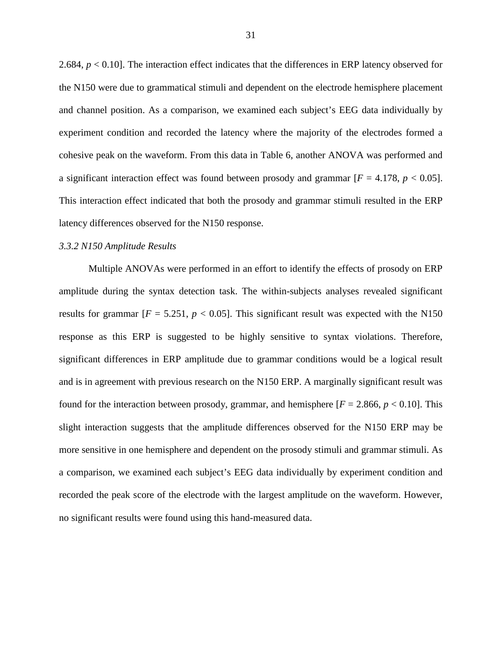2.684, *p* < 0.10]. The interaction effect indicates that the differences in ERP latency observed for the N150 were due to grammatical stimuli and dependent on the electrode hemisphere placement and channel position. As a comparison, we examined each subject's EEG data individually by experiment condition and recorded the latency where the majority of the electrodes formed a cohesive peak on the waveform. From this data in Table 6, another ANOVA was performed and a significant interaction effect was found between prosody and grammar  $[F = 4.178, p < 0.05]$ . This interaction effect indicated that both the prosody and grammar stimuli resulted in the ERP latency differences observed for the N150 response.

#### <span id="page-39-0"></span>*3.3.2 N150 Amplitude Results*

Multiple ANOVAs were performed in an effort to identify the effects of prosody on ERP amplitude during the syntax detection task. The within-subjects analyses revealed significant results for grammar  $[F = 5.251, p < 0.05]$ . This significant result was expected with the N150 response as this ERP is suggested to be highly sensitive to syntax violations. Therefore, significant differences in ERP amplitude due to grammar conditions would be a logical result and is in agreement with previous research on the N150 ERP. A marginally significant result was found for the interaction between prosody, grammar, and hemisphere  $[F = 2.866, p < 0.10]$ . This slight interaction suggests that the amplitude differences observed for the N150 ERP may be more sensitive in one hemisphere and dependent on the prosody stimuli and grammar stimuli. As a comparison, we examined each subject's EEG data individually by experiment condition and recorded the peak score of the electrode with the largest amplitude on the waveform. However, no significant results were found using this hand-measured data.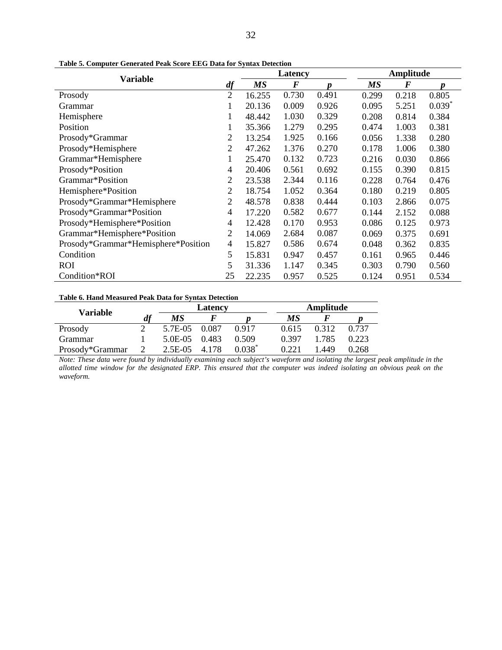| <b>Variable</b>                     |                |        | Latency  |       |       | Amplitude |                      |  |  |
|-------------------------------------|----------------|--------|----------|-------|-------|-----------|----------------------|--|--|
|                                     | df             | MS     | $\bm{F}$ | p     | MS    | $\bm{F}$  | $\boldsymbol{p}$     |  |  |
| Prosody                             | $\overline{2}$ | 16.255 | 0.730    | 0.491 | 0.299 | 0.218     | 0.805                |  |  |
| Grammar                             | $\mathbf{1}$   | 20.136 | 0.009    | 0.926 | 0.095 | 5.251     | $0.039$ <sup>*</sup> |  |  |
| Hemisphere                          | 1              | 48.442 | 1.030    | 0.329 | 0.208 | 0.814     | 0.384                |  |  |
| Position                            | 1              | 35.366 | 1.279    | 0.295 | 0.474 | 1.003     | 0.381                |  |  |
| Prosody*Grammar                     | 2              | 13.254 | 1.925    | 0.166 | 0.056 | 1.338     | 0.280                |  |  |
| Prosody*Hemisphere                  | $\overline{2}$ | 47.262 | 1.376    | 0.270 | 0.178 | 1.006     | 0.380                |  |  |
| Grammar*Hemisphere                  | $\mathbf{1}$   | 25.470 | 0.132    | 0.723 | 0.216 | 0.030     | 0.866                |  |  |
| Prosody*Position                    |                | 20.406 | 0.561    | 0.692 | 0.155 | 0.390     | 0.815                |  |  |
| Grammar*Position                    | $\overline{2}$ | 23.538 | 2.344    | 0.116 | 0.228 | 0.764     | 0.476                |  |  |
| Hemisphere*Position                 |                | 18.754 | 1.052    | 0.364 | 0.180 | 0.219     | 0.805                |  |  |
| Prosody*Grammar*Hemisphere          |                | 48.578 | 0.838    | 0.444 | 0.103 | 2.866     | 0.075                |  |  |
| Prosody*Grammar*Position            | 4              | 17.220 | 0.582    | 0.677 | 0.144 | 2.152     | 0.088                |  |  |
| Prosody*Hemisphere*Position         | 4              | 12.428 | 0.170    | 0.953 | 0.086 | 0.125     | 0.973                |  |  |
| Grammar*Hemisphere*Position         | 2              | 14.069 | 2.684    | 0.087 | 0.069 | 0.375     | 0.691                |  |  |
| Prosody*Grammar*Hemisphere*Position | $\overline{4}$ | 15.827 | 0.586    | 0.674 | 0.048 | 0.362     | 0.835                |  |  |
| Condition                           | 5              | 15.831 | 0.947    | 0.457 | 0.161 | 0.965     | 0.446                |  |  |
| <b>ROI</b>                          | 5              | 31.336 | 1.147    | 0.345 | 0.303 | 0.790     | 0.560                |  |  |
| Condition*ROI                       | 25             | 22.235 | 0.957    | 0.525 | 0.124 | 0.951     | 0.534                |  |  |

<span id="page-40-0"></span>**Table 5. Computer Generated Peak Score EEG Data for Syntax Detection**

<span id="page-40-1"></span>**Table 6. Hand Measured Peak Data for Syntax Detection**

| Variable        |    | Latency    |         |           | Amplitude |       |       |
|-----------------|----|------------|---------|-----------|-----------|-------|-------|
|                 | df | МS         |         |           | МS        |       |       |
| Prosody         |    | 5.7E-05    | 0.087   | 0.917     | 0.615     | 0.312 | 0.737 |
| Grammar         |    | 5.0E-05    | 0.483   | 0.509     | 0.397     | 1.785 | 0.223 |
| Prosody*Grammar |    | $2.5E-0.5$ | 4 1 7 8 | $0.038^*$ | D 221     | .449  | 0.268 |

*Note: These data were found by individually examining each subject's waveform and isolating the largest peak amplitude in the allotted time window for the designated ERP. This ensured that the computer was indeed isolating an obvious peak on the waveform.*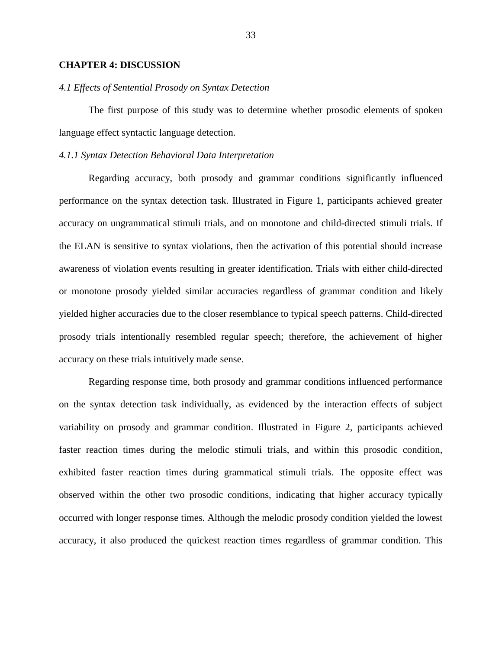#### <span id="page-41-0"></span>**CHAPTER 4: DISCUSSION**

#### <span id="page-41-1"></span>*4.1 Effects of Sentential Prosody on Syntax Detection*

The first purpose of this study was to determine whether prosodic elements of spoken language effect syntactic language detection.

# <span id="page-41-2"></span>*4.1.1 Syntax Detection Behavioral Data Interpretation*

Regarding accuracy, both prosody and grammar conditions significantly influenced performance on the syntax detection task. Illustrated in Figure 1, participants achieved greater accuracy on ungrammatical stimuli trials, and on monotone and child-directed stimuli trials. If the ELAN is sensitive to syntax violations, then the activation of this potential should increase awareness of violation events resulting in greater identification. Trials with either child-directed or monotone prosody yielded similar accuracies regardless of grammar condition and likely yielded higher accuracies due to the closer resemblance to typical speech patterns. Child-directed prosody trials intentionally resembled regular speech; therefore, the achievement of higher accuracy on these trials intuitively made sense.

Regarding response time, both prosody and grammar conditions influenced performance on the syntax detection task individually, as evidenced by the interaction effects of subject variability on prosody and grammar condition. Illustrated in Figure 2, participants achieved faster reaction times during the melodic stimuli trials, and within this prosodic condition, exhibited faster reaction times during grammatical stimuli trials. The opposite effect was observed within the other two prosodic conditions, indicating that higher accuracy typically occurred with longer response times. Although the melodic prosody condition yielded the lowest accuracy, it also produced the quickest reaction times regardless of grammar condition. This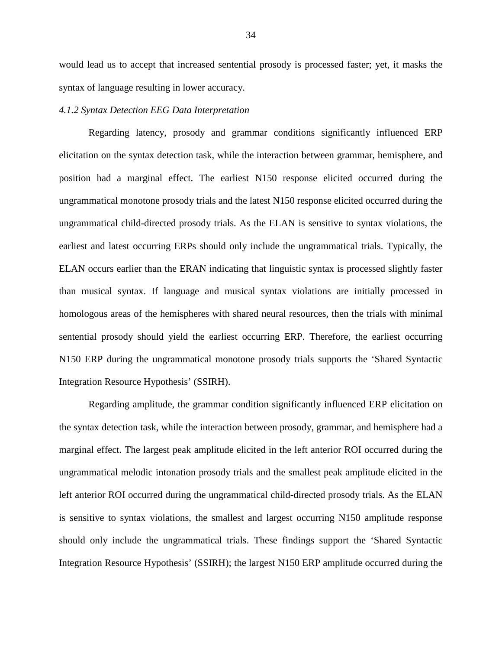would lead us to accept that increased sentential prosody is processed faster; yet, it masks the syntax of language resulting in lower accuracy.

#### <span id="page-42-0"></span>*4.1.2 Syntax Detection EEG Data Interpretation*

Regarding latency, prosody and grammar conditions significantly influenced ERP elicitation on the syntax detection task, while the interaction between grammar, hemisphere, and position had a marginal effect. The earliest N150 response elicited occurred during the ungrammatical monotone prosody trials and the latest N150 response elicited occurred during the ungrammatical child-directed prosody trials. As the ELAN is sensitive to syntax violations, the earliest and latest occurring ERPs should only include the ungrammatical trials. Typically, the ELAN occurs earlier than the ERAN indicating that linguistic syntax is processed slightly faster than musical syntax. If language and musical syntax violations are initially processed in homologous areas of the hemispheres with shared neural resources, then the trials with minimal sentential prosody should yield the earliest occurring ERP. Therefore, the earliest occurring N150 ERP during the ungrammatical monotone prosody trials supports the 'Shared Syntactic Integration Resource Hypothesis' (SSIRH).

Regarding amplitude, the grammar condition significantly influenced ERP elicitation on the syntax detection task, while the interaction between prosody, grammar, and hemisphere had a marginal effect. The largest peak amplitude elicited in the left anterior ROI occurred during the ungrammatical melodic intonation prosody trials and the smallest peak amplitude elicited in the left anterior ROI occurred during the ungrammatical child-directed prosody trials. As the ELAN is sensitive to syntax violations, the smallest and largest occurring N150 amplitude response should only include the ungrammatical trials. These findings support the 'Shared Syntactic Integration Resource Hypothesis' (SSIRH); the largest N150 ERP amplitude occurred during the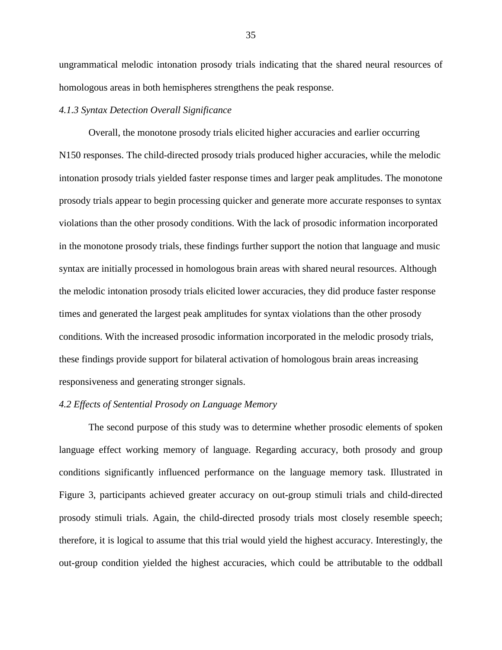ungrammatical melodic intonation prosody trials indicating that the shared neural resources of homologous areas in both hemispheres strengthens the peak response.

# <span id="page-43-0"></span>*4.1.3 Syntax Detection Overall Significance*

Overall, the monotone prosody trials elicited higher accuracies and earlier occurring N150 responses. The child-directed prosody trials produced higher accuracies, while the melodic intonation prosody trials yielded faster response times and larger peak amplitudes. The monotone prosody trials appear to begin processing quicker and generate more accurate responses to syntax violations than the other prosody conditions. With the lack of prosodic information incorporated in the monotone prosody trials, these findings further support the notion that language and music syntax are initially processed in homologous brain areas with shared neural resources. Although the melodic intonation prosody trials elicited lower accuracies, they did produce faster response times and generated the largest peak amplitudes for syntax violations than the other prosody conditions. With the increased prosodic information incorporated in the melodic prosody trials, these findings provide support for bilateral activation of homologous brain areas increasing responsiveness and generating stronger signals.

#### <span id="page-43-1"></span>*4.2 Effects of Sentential Prosody on Language Memory*

The second purpose of this study was to determine whether prosodic elements of spoken language effect working memory of language. Regarding accuracy, both prosody and group conditions significantly influenced performance on the language memory task. Illustrated in Figure 3, participants achieved greater accuracy on out-group stimuli trials and child-directed prosody stimuli trials. Again, the child-directed prosody trials most closely resemble speech; therefore, it is logical to assume that this trial would yield the highest accuracy. Interestingly, the out-group condition yielded the highest accuracies, which could be attributable to the oddball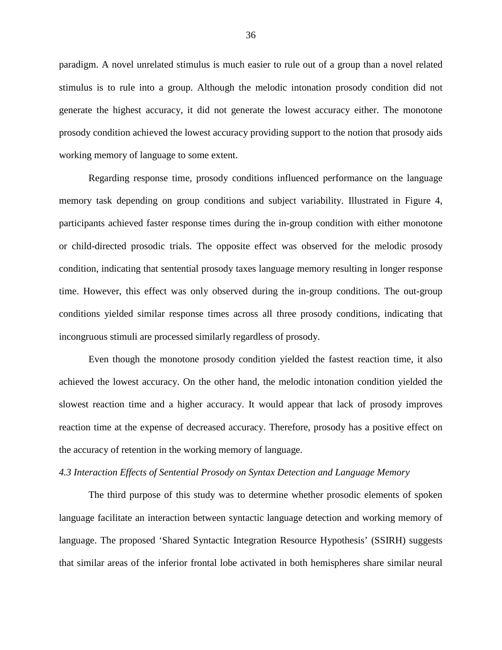paradigm. A novel unrelated stimulus is much easier to rule out of a group than a novel related stimulus is to rule into a group. Although the melodic intonation prosody condition did not generate the highest accuracy, it did not generate the lowest accuracy either. The monotone prosody condition achieved the lowest accuracy providing support to the notion that prosody aids working memory of language to some extent.

Regarding response time, prosody conditions influenced performance on the language memory task depending on group conditions and subject variability. Illustrated in Figure 4, participants achieved faster response times during the in-group condition with either monotone or child-directed prosodic trials. The opposite effect was observed for the melodic prosody condition, indicating that sentential prosody taxes language memory resulting in longer response time. However, this effect was only observed during the in-group conditions. The out-group conditions yielded similar response times across all three prosody conditions, indicating that incongruous stimuli are processed similarly regardless of prosody.

Even though the monotone prosody condition yielded the fastest reaction time, it also achieved the lowest accuracy. On the other hand, the melodic intonation condition yielded the slowest reaction time and a higher accuracy. It would appear that lack of prosody improves reaction time at the expense of decreased accuracy. Therefore, prosody has a positive effect on the accuracy of retention in the working memory of language.

# <span id="page-44-0"></span>*4.3 Interaction Effects of Sentential Prosody on Syntax Detection and Language Memory*

The third purpose of this study was to determine whether prosodic elements of spoken language facilitate an interaction between syntactic language detection and working memory of language. The proposed 'Shared Syntactic Integration Resource Hypothesis' (SSIRH) suggests that similar areas of the inferior frontal lobe activated in both hemispheres share similar neural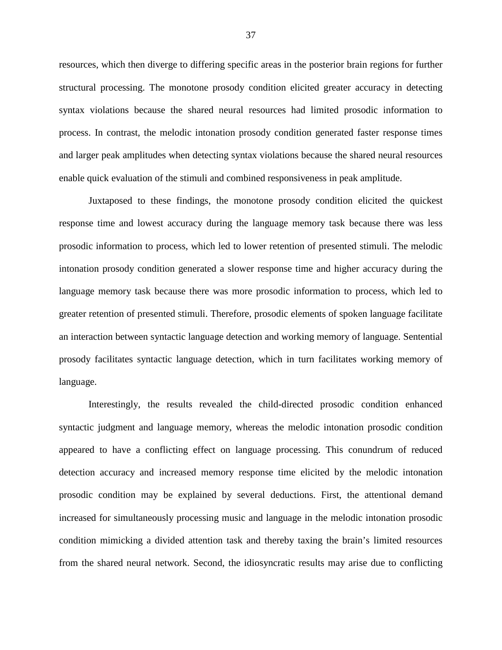resources, which then diverge to differing specific areas in the posterior brain regions for further structural processing. The monotone prosody condition elicited greater accuracy in detecting syntax violations because the shared neural resources had limited prosodic information to process. In contrast, the melodic intonation prosody condition generated faster response times and larger peak amplitudes when detecting syntax violations because the shared neural resources enable quick evaluation of the stimuli and combined responsiveness in peak amplitude.

Juxtaposed to these findings, the monotone prosody condition elicited the quickest response time and lowest accuracy during the language memory task because there was less prosodic information to process, which led to lower retention of presented stimuli. The melodic intonation prosody condition generated a slower response time and higher accuracy during the language memory task because there was more prosodic information to process, which led to greater retention of presented stimuli. Therefore, prosodic elements of spoken language facilitate an interaction between syntactic language detection and working memory of language. Sentential prosody facilitates syntactic language detection, which in turn facilitates working memory of language.

Interestingly, the results revealed the child-directed prosodic condition enhanced syntactic judgment and language memory, whereas the melodic intonation prosodic condition appeared to have a conflicting effect on language processing. This conundrum of reduced detection accuracy and increased memory response time elicited by the melodic intonation prosodic condition may be explained by several deductions. First, the attentional demand increased for simultaneously processing music and language in the melodic intonation prosodic condition mimicking a divided attention task and thereby taxing the brain's limited resources from the shared neural network. Second, the idiosyncratic results may arise due to conflicting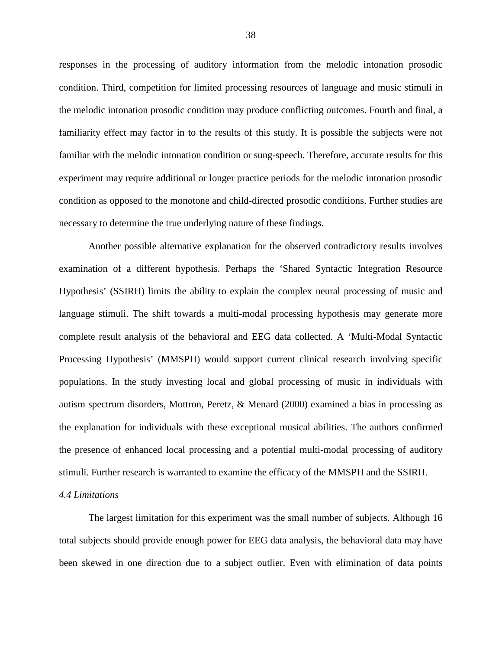responses in the processing of auditory information from the melodic intonation prosodic condition. Third, competition for limited processing resources of language and music stimuli in the melodic intonation prosodic condition may produce conflicting outcomes. Fourth and final, a familiarity effect may factor in to the results of this study. It is possible the subjects were not familiar with the melodic intonation condition or sung-speech. Therefore, accurate results for this experiment may require additional or longer practice periods for the melodic intonation prosodic condition as opposed to the monotone and child-directed prosodic conditions. Further studies are necessary to determine the true underlying nature of these findings.

Another possible alternative explanation for the observed contradictory results involves examination of a different hypothesis. Perhaps the 'Shared Syntactic Integration Resource Hypothesis' (SSIRH) limits the ability to explain the complex neural processing of music and language stimuli. The shift towards a multi-modal processing hypothesis may generate more complete result analysis of the behavioral and EEG data collected. A 'Multi-Modal Syntactic Processing Hypothesis' (MMSPH) would support current clinical research involving specific populations. In the study investing local and global processing of music in individuals with autism spectrum disorders, Mottron, Peretz, & Menard (2000) examined a bias in processing as the explanation for individuals with these exceptional musical abilities. The authors confirmed the presence of enhanced local processing and a potential multi-modal processing of auditory stimuli. Further research is warranted to examine the efficacy of the MMSPH and the SSIRH.

# <span id="page-46-0"></span>*4.4 Limitations*

The largest limitation for this experiment was the small number of subjects. Although 16 total subjects should provide enough power for EEG data analysis, the behavioral data may have been skewed in one direction due to a subject outlier. Even with elimination of data points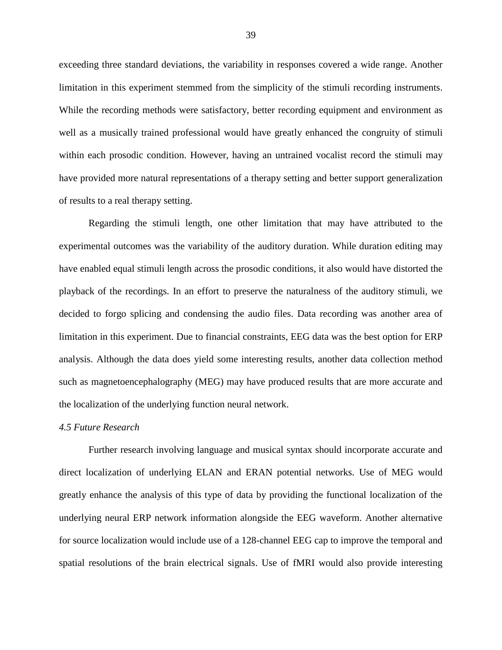exceeding three standard deviations, the variability in responses covered a wide range. Another limitation in this experiment stemmed from the simplicity of the stimuli recording instruments. While the recording methods were satisfactory, better recording equipment and environment as well as a musically trained professional would have greatly enhanced the congruity of stimuli within each prosodic condition. However, having an untrained vocalist record the stimuli may have provided more natural representations of a therapy setting and better support generalization of results to a real therapy setting.

Regarding the stimuli length, one other limitation that may have attributed to the experimental outcomes was the variability of the auditory duration. While duration editing may have enabled equal stimuli length across the prosodic conditions, it also would have distorted the playback of the recordings. In an effort to preserve the naturalness of the auditory stimuli, we decided to forgo splicing and condensing the audio files. Data recording was another area of limitation in this experiment. Due to financial constraints, EEG data was the best option for ERP analysis. Although the data does yield some interesting results, another data collection method such as magnetoencephalography (MEG) may have produced results that are more accurate and the localization of the underlying function neural network.

#### <span id="page-47-0"></span>*4.5 Future Research*

Further research involving language and musical syntax should incorporate accurate and direct localization of underlying ELAN and ERAN potential networks. Use of MEG would greatly enhance the analysis of this type of data by providing the functional localization of the underlying neural ERP network information alongside the EEG waveform. Another alternative for source localization would include use of a 128-channel EEG cap to improve the temporal and spatial resolutions of the brain electrical signals. Use of fMRI would also provide interesting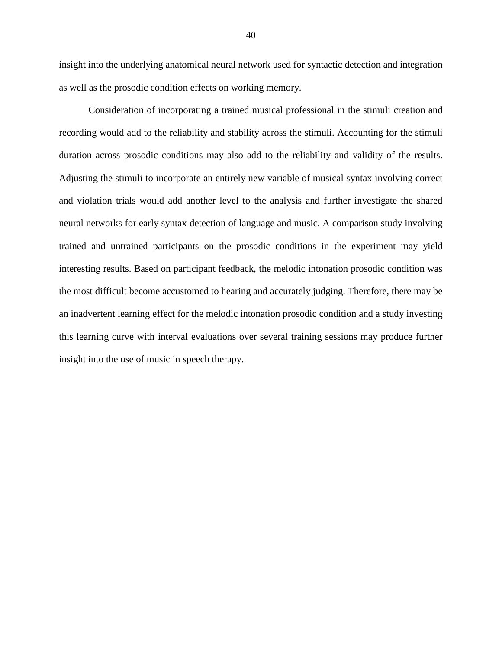insight into the underlying anatomical neural network used for syntactic detection and integration as well as the prosodic condition effects on working memory.

Consideration of incorporating a trained musical professional in the stimuli creation and recording would add to the reliability and stability across the stimuli. Accounting for the stimuli duration across prosodic conditions may also add to the reliability and validity of the results. Adjusting the stimuli to incorporate an entirely new variable of musical syntax involving correct and violation trials would add another level to the analysis and further investigate the shared neural networks for early syntax detection of language and music. A comparison study involving trained and untrained participants on the prosodic conditions in the experiment may yield interesting results. Based on participant feedback, the melodic intonation prosodic condition was the most difficult become accustomed to hearing and accurately judging. Therefore, there may be an inadvertent learning effect for the melodic intonation prosodic condition and a study investing this learning curve with interval evaluations over several training sessions may produce further insight into the use of music in speech therapy.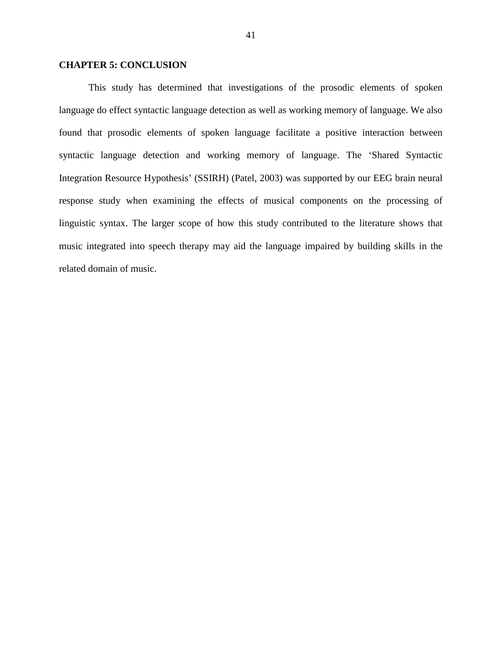# <span id="page-49-0"></span>**CHAPTER 5: CONCLUSION**

This study has determined that investigations of the prosodic elements of spoken language do effect syntactic language detection as well as working memory of language. We also found that prosodic elements of spoken language facilitate a positive interaction between syntactic language detection and working memory of language. The 'Shared Syntactic Integration Resource Hypothesis' (SSIRH) (Patel, 2003) was supported by our EEG brain neural response study when examining the effects of musical components on the processing of linguistic syntax. The larger scope of how this study contributed to the literature shows that music integrated into speech therapy may aid the language impaired by building skills in the related domain of music.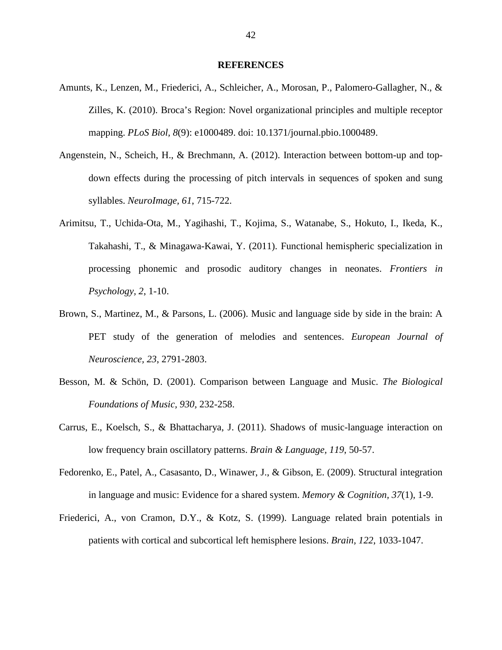#### **REFERENCES**

- <span id="page-50-0"></span>Amunts, K., Lenzen, M., Friederici, A., Schleicher, A., Morosan, P., Palomero-Gallagher, N., & Zilles, K. (2010). Broca's Region: Novel organizational principles and multiple receptor mapping. *PLoS Biol, 8*(9): e1000489. doi: 10.1371/journal.pbio.1000489.
- Angenstein, N., Scheich, H., & Brechmann, A. (2012). Interaction between bottom-up and topdown effects during the processing of pitch intervals in sequences of spoken and sung syllables. *NeuroImage, 61*, 715-722.
- Arimitsu, T., Uchida-Ota, M., Yagihashi, T., Kojima, S., Watanabe, S., Hokuto, I., Ikeda, K., Takahashi, T., & Minagawa-Kawai, Y. (2011). Functional hemispheric specialization in processing phonemic and prosodic auditory changes in neonates. *Frontiers in Psychology, 2*, 1-10.
- Brown, S., Martinez, M., & Parsons, L. (2006). Music and language side by side in the brain: A PET study of the generation of melodies and sentences. *European Journal of Neuroscience, 23*, 2791-2803.
- Besson, M. & Schön, D. (2001). Comparison between Language and Music. *The Biological Foundations of Music, 930,* 232-258.
- Carrus, E., Koelsch, S., & Bhattacharya, J. (2011). Shadows of music-language interaction on low frequency brain oscillatory patterns. *Brain & Language, 119*, 50-57.
- Fedorenko, E., Patel, A., Casasanto, D., Winawer, J., & Gibson, E. (2009). Structural integration in language and music: Evidence for a shared system. *Memory & Cognition, 37*(1), 1-9.
- Friederici, A., von Cramon, D.Y., & Kotz, S. (1999). Language related brain potentials in patients with cortical and subcortical left hemisphere lesions. *Brain, 122*, 1033-1047.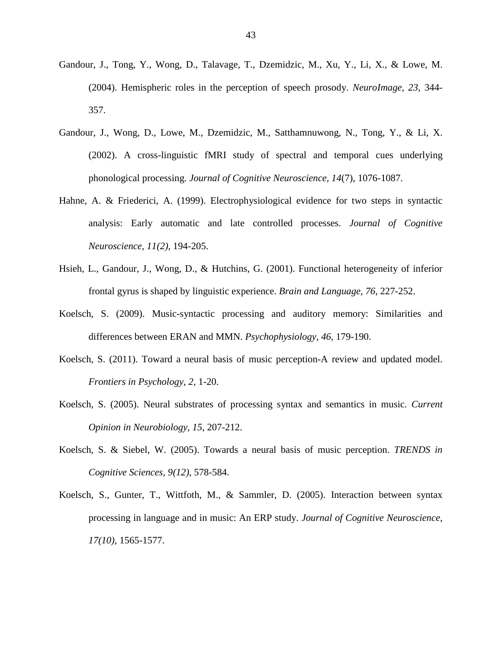- Gandour, J., Tong, Y., Wong, D., Talavage, T., Dzemidzic, M., Xu, Y., Li, X., & Lowe, M. (2004). Hemispheric roles in the perception of speech prosody. *NeuroImage, 23*, 344- 357.
- Gandour, J., Wong, D., Lowe, M., Dzemidzic, M., Satthamnuwong, N., Tong, Y., & Li, X. (2002). A cross-linguistic fMRI study of spectral and temporal cues underlying phonological processing. *Journal of Cognitive Neuroscience, 14*(7), 1076-1087.
- Hahne, A. & Friederici, A. (1999). Electrophysiological evidence for two steps in syntactic analysis: Early automatic and late controlled processes. *Journal of Cognitive Neuroscience, 11(2)*, 194-205.
- Hsieh, L., Gandour, J., Wong, D., & Hutchins, G. (2001). Functional heterogeneity of inferior frontal gyrus is shaped by linguistic experience. *Brain and Language, 76*, 227-252.
- Koelsch, S. (2009). Music-syntactic processing and auditory memory: Similarities and differences between ERAN and MMN. *Psychophysiology, 46*, 179-190.
- Koelsch, S. (2011). Toward a neural basis of music perception-A review and updated model. *Frontiers in Psychology, 2*, 1-20.
- Koelsch, S. (2005). Neural substrates of processing syntax and semantics in music. *Current Opinion in Neurobiology, 15*, 207-212.
- Koelsch, S. & Siebel, W. (2005). Towards a neural basis of music perception. *TRENDS in Cognitive Sciences, 9(12)*, 578-584.
- Koelsch, S., Gunter, T., Wittfoth, M., & Sammler, D. (2005). Interaction between syntax processing in language and in music: An ERP study. *Journal of Cognitive Neuroscience, 17(10),* 1565-1577.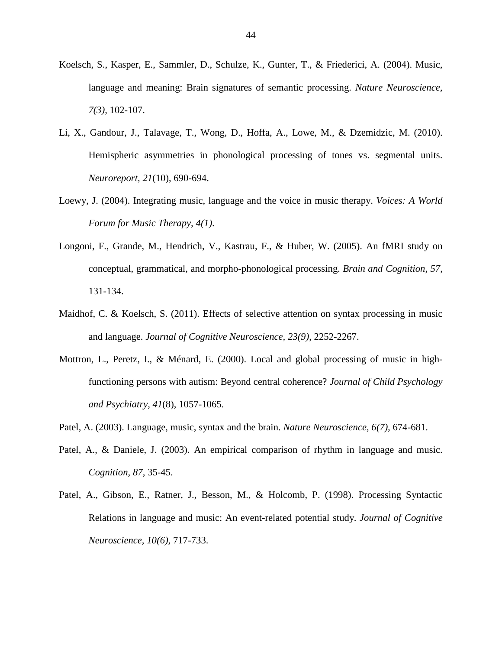- Koelsch, S., Kasper, E., Sammler, D., Schulze, K., Gunter, T., & Friederici, A. (2004). Music, language and meaning: Brain signatures of semantic processing. *Nature Neuroscience, 7(3),* 102-107.
- Li, X., Gandour, J., Talavage, T., Wong, D., Hoffa, A., Lowe, M., & Dzemidzic, M. (2010). Hemispheric asymmetries in phonological processing of tones vs. segmental units. *Neuroreport, 21*(10), 690-694.
- Loewy, J. (2004). Integrating music, language and the voice in music therapy. *Voices: A World Forum for Music Therapy, 4(1)*.
- Longoni, F., Grande, M., Hendrich, V., Kastrau, F., & Huber, W. (2005). An fMRI study on conceptual, grammatical, and morpho-phonological processing. *Brain and Cognition, 57*, 131-134.
- Maidhof, C. & Koelsch, S. (2011). Effects of selective attention on syntax processing in music and language. *Journal of Cognitive Neuroscience, 23(9)*, 2252-2267.
- Mottron, L., Peretz, I., & Ménard, E. (2000). Local and global processing of music in highfunctioning persons with autism: Beyond central coherence? *Journal of Child Psychology and Psychiatry, 41*(8), 1057-1065.
- Patel, A. (2003). Language, music, syntax and the brain. *Nature Neuroscience, 6(7),* 674-681.
- Patel, A., & Daniele, J. (2003). An empirical comparison of rhythm in language and music. *Cognition, 87,* 35-45.
- Patel, A., Gibson, E., Ratner, J., Besson, M., & Holcomb, P. (1998). Processing Syntactic Relations in language and music: An event-related potential study. *Journal of Cognitive Neuroscience, 10(6),* 717-733.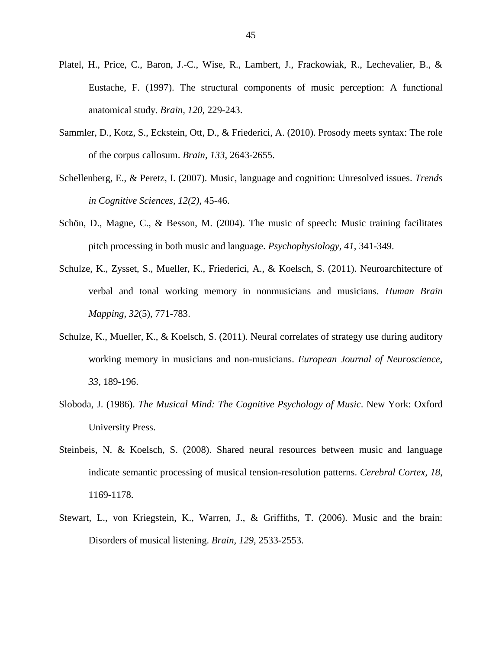- Platel, H., Price, C., Baron, J.-C., Wise, R., Lambert, J., Frackowiak, R., Lechevalier, B., & Eustache, F. (1997). The structural components of music perception: A functional anatomical study. *Brain, 120,* 229-243.
- Sammler, D., Kotz, S., Eckstein, Ott, D., & Friederici, A. (2010). Prosody meets syntax: The role of the corpus callosum. *Brain, 133*, 2643-2655.
- Schellenberg, E., & Peretz, I. (2007). Music, language and cognition: Unresolved issues. *Trends in Cognitive Sciences, 12(2),* 45-46.
- Schön, D., Magne, C., & Besson, M. (2004). The music of speech: Music training facilitates pitch processing in both music and language. *Psychophysiology, 41,* 341-349.
- Schulze, K., Zysset, S., Mueller, K., Friederici, A., & Koelsch, S. (2011). Neuroarchitecture of verbal and tonal working memory in nonmusicians and musicians. *Human Brain Mapping, 32*(5), 771-783.
- Schulze, K., Mueller, K., & Koelsch, S. (2011). Neural correlates of strategy use during auditory working memory in musicians and non-musicians. *European Journal of Neuroscience, 33*, 189-196.
- Sloboda, J. (1986). *The Musical Mind: The Cognitive Psychology of Music*. New York: Oxford University Press.
- Steinbeis, N. & Koelsch, S. (2008). Shared neural resources between music and language indicate semantic processing of musical tension-resolution patterns. *Cerebral Cortex, 18*, 1169-1178.
- Stewart, L., von Kriegstein, K., Warren, J., & Griffiths, T. (2006). Music and the brain: Disorders of musical listening. *Brain, 129,* 2533-2553.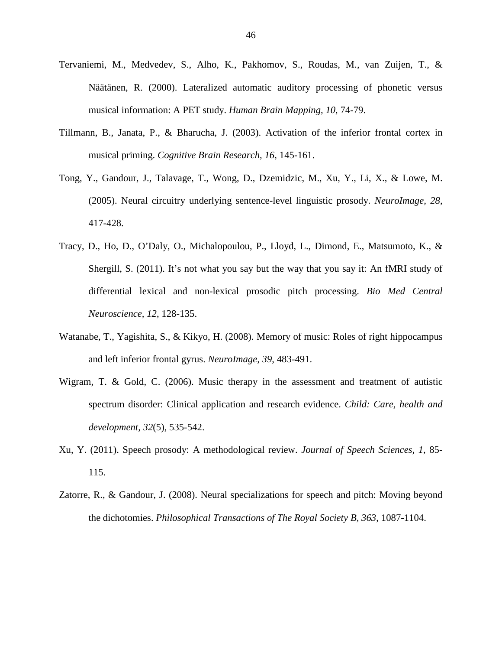- Tervaniemi, M., Medvedev, S., Alho, K., Pakhomov, S., Roudas, M., van Zuijen, T., & Näätänen, R. (2000). Lateralized automatic auditory processing of phonetic versus musical information: A PET study. *Human Brain Mapping, 10*, 74-79.
- Tillmann, B., Janata, P., & Bharucha, J. (2003). Activation of the inferior frontal cortex in musical priming. *Cognitive Brain Research, 16*, 145-161.
- Tong, Y., Gandour, J., Talavage, T., Wong, D., Dzemidzic, M., Xu, Y., Li, X., & Lowe, M. (2005). Neural circuitry underlying sentence-level linguistic prosody. *NeuroImage, 28*, 417-428.
- Tracy, D., Ho, D., O'Daly, O., Michalopoulou, P., Lloyd, L., Dimond, E., Matsumoto, K., & Shergill, S. (2011). It's not what you say but the way that you say it: An fMRI study of differential lexical and non-lexical prosodic pitch processing. *Bio Med Central Neuroscience, 12*, 128-135.
- Watanabe, T., Yagishita, S., & Kikyo, H. (2008). Memory of music: Roles of right hippocampus and left inferior frontal gyrus. *NeuroImage, 39*, 483-491.
- Wigram, T. & Gold, C. (2006). Music therapy in the assessment and treatment of autistic spectrum disorder: Clinical application and research evidence. *Child: Care, health and development, 32*(5), 535-542.
- Xu, Y. (2011). Speech prosody: A methodological review. *Journal of Speech Sciences, 1*, 85- 115.
- Zatorre, R., & Gandour, J. (2008). Neural specializations for speech and pitch: Moving beyond the dichotomies. *Philosophical Transactions of The Royal Society B, 363*, 1087-1104.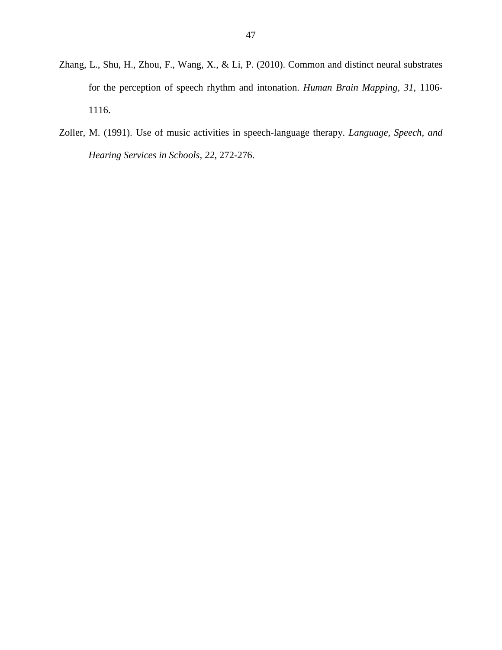- Zhang, L., Shu, H., Zhou, F., Wang, X., & Li, P. (2010). Common and distinct neural substrates for the perception of speech rhythm and intonation. *Human Brain Mapping, 31*, 1106- 1116.
- Zoller, M. (1991). Use of music activities in speech-language therapy. *Language, Speech, and Hearing Services in Schools, 22,* 272-276.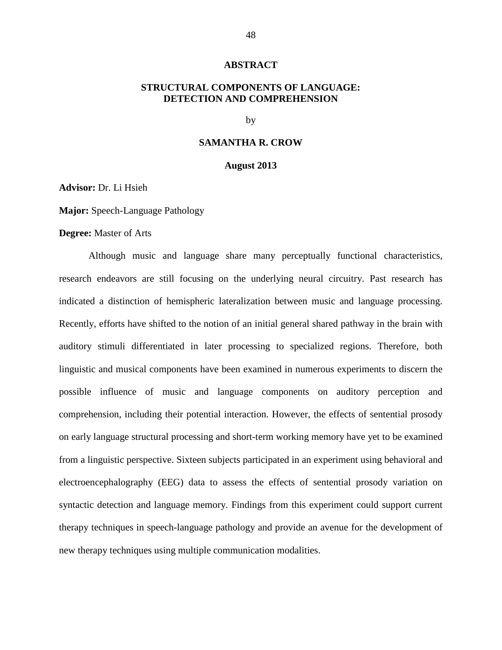#### **ABSTRACT**

# <span id="page-56-0"></span>**STRUCTURAL COMPONENTS OF LANGUAGE: DETECTION AND COMPREHENSION**

by

#### **SAMANTHA R. CROW**

#### **August 2013**

**Advisor:** Dr. Li Hsieh

**Major:** Speech-Language Pathology

#### **Degree:** Master of Arts

Although music and language share many perceptually functional characteristics, research endeavors are still focusing on the underlying neural circuitry. Past research has indicated a distinction of hemispheric lateralization between music and language processing. Recently, efforts have shifted to the notion of an initial general shared pathway in the brain with auditory stimuli differentiated in later processing to specialized regions. Therefore, both linguistic and musical components have been examined in numerous experiments to discern the possible influence of music and language components on auditory perception and comprehension, including their potential interaction. However, the effects of sentential prosody on early language structural processing and short-term working memory have yet to be examined from a linguistic perspective. Sixteen subjects participated in an experiment using behavioral and electroencephalography (EEG) data to assess the effects of sentential prosody variation on syntactic detection and language memory. Findings from this experiment could support current therapy techniques in speech-language pathology and provide an avenue for the development of new therapy techniques using multiple communication modalities.